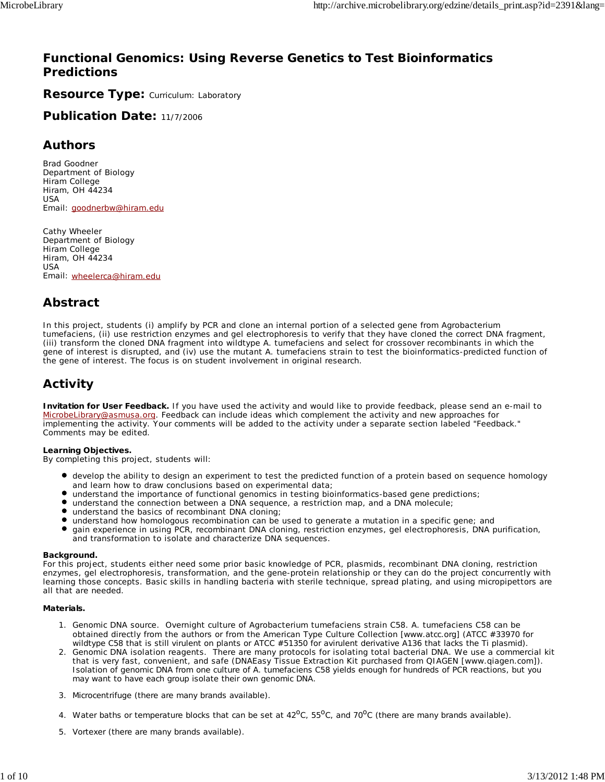#### **Functional Genomics: Using Reverse Genetics to Test Bioinformatics Predictions**

Resource Type: Curriculum: Laboratory

**Publication Date:** 11/7/2006

#### **Authors**

*Brad Goodner* Department of Biology Hiram College Hiram, OH 44234 USA Email: goodnerbw@hiram.edu

*Cathy Wheeler* Department of Biology Hiram College Hiram, OH 44234 USA Email: wheelerca@hiram.edu

#### **Abstract**

In this project, students (i) amplify by PCR and clone an internal portion of a selected gene from *Agrobacterium tumefaciens*, (ii) use restriction enzymes and gel electrophoresis to verify that they have cloned the correct DNA fragment, (iii) transform the cloned DNA fragment into wildtype *A. tumefaciens* and select for crossover recombinants in which the gene of interest is disrupted, and (iv) use the mutant *A. tumefaciens* strain to test the bioinformatics-predicted function of the gene of interest. The focus is on student involvement in original research.

#### **Activity**

**Invitation for User Feedback.** If you have used the activity and would like to provide feedback, please send an e-mail to MicrobeLibrary@asmusa.org. Feedback can include ideas which complement the activity and new approaches for implementing the activity. Your comments will be added to the activity under a separate section labeled "Feedback." Comments may be edited.

#### **Learning Objectives.**

By completing this project, students will:

- develop the ability to design an experiment to test the predicted function of a protein based on sequence homology and learn how to draw conclusions based on experimental data;
- understand the importance of functional genomics in testing bioinformatics-based gene predictions;
- understand the connection between a DNA sequence, a restriction map, and a DNA molecule;
- $\bullet$ understand the basics of recombinant DNA cloning;
- understand how homologous recombination can be used to generate a mutation in a specific gene; and
- $\bullet$ gain experience in using PCR, recombinant DNA cloning, restriction enzymes, gel electrophoresis, DNA purification, and transformation to isolate and characterize DNA sequences.

#### **Background.**

For this project, students either need some prior basic knowledge of PCR, plasmids, recombinant DNA cloning, restriction enzymes, gel electrophoresis, transformation, and the gene-protein relationship or they can do the project concurrently with learning those concepts. Basic skills in handling bacteria with sterile technique, spread plating, and using micropipettors are all that are needed.

#### **Materials.**

- 1. Genomic DNA source. Overnight culture of *Agrobacterium tumefaciens* strain C58. A. tumefaciens C58 can be obtained directly from the authors or from the American Type Culture Collection [www.atcc.org] (ATCC #33970 for wildtype C58 that is still virulent on plants or ATCC #51350 for avirulent derivative A136 that lacks the Ti plasmid).
- Genomic DNA isolation reagents. There are many protocols for isolating total bacterial DNA. We use a commercial kit that is very fast, convenient, and safe (DNAEasy Tissue Extraction Kit purchased from QIAGEN [www.qiagen.com]). Isolation of genomic DNA from one culture of *A. tumefaciens* C58 yields enough for hundreds of PCR reactions, but you may want to have each group isolate their own genomic DNA. 2.
- 3. Microcentrifuge (there are many brands available).
- 4. Water baths or temperature blocks that can be set at  $42^{\circ}$ C,  $55^{\circ}$ C, and  $70^{\circ}$ C (there are many brands available).
- 5. Vortexer (there are many brands available).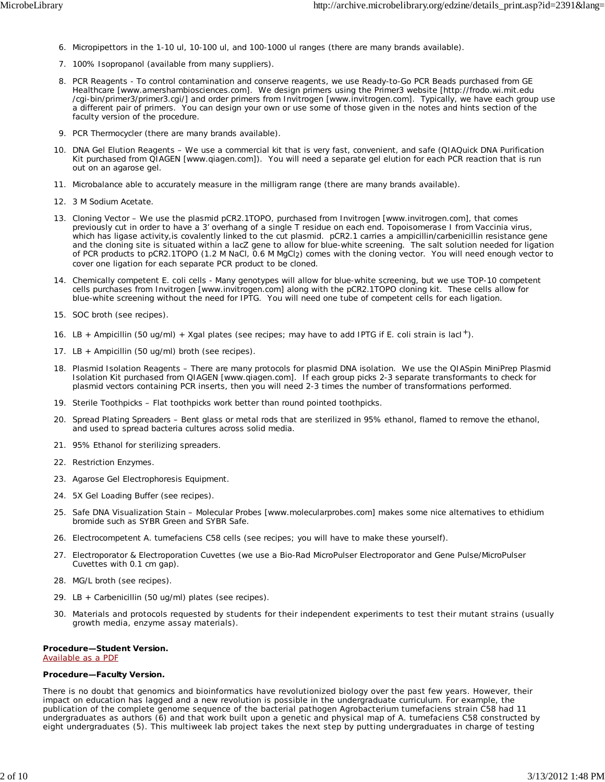- 6. Micropipettors in the 1-10 ul, 10-100 ul, and 100-1000 ul ranges (there are many brands available).
- 7. 100% Isopropanol (available from many suppliers).
- 8. PCR Reagents To control contamination and conserve reagents, we use Ready-to-Go PCR Beads purchased from GE Healthcare [www.amershambiosciences.com]. We design primers using the Primer3 website [http://frodo.wi.mit.edu /cgi-bin/primer3/primer3.cgi/] and order primers from Invitrogen [www.invitrogen.com]. Typically, we have each group use a different pair of primers. You can design your own or use some of those given in the notes and hints section of the faculty version of the procedure.
- 9. PCR Thermocycler (there are many brands available).
- 10. DNA Gel Elution Reagents We use a commercial kit that is very fast, convenient, and safe (QIAQuick DNA Purification Kit purchased from QIAGEN [www.qiagen.com]). You will need a separate gel elution for each PCR reaction that is run out on an agarose gel.
- 11. Microbalance able to accurately measure in the milligram range (there are many brands available).
- 12. 3 M Sodium Acetate.
- 13. Cloning Vector We use the plasmid pCR2.1TOPO, purchased from Invitrogen [www.invitrogen.com], that comes previously cut in order to have a 3' overhang of a single T residue on each end. Topoisomerase I from *Vaccinia* virus, which has ligase activity,is covalently linked to the cut plasmid. pCR2.1 carries a ampicillin/carbenicillin resistance gene and the cloning site is situated within a lacZ gene to allow for blue-white screening. The salt solution needed for ligation of PCR products to pCR2.1TOPO (1.2 M NaCl, 0.6 M MgCl2) comes with the cloning vector. You will need enough vector to cover one ligation for each separate PCR product to be cloned.
- 14. Chemically competent E. coli cells Many genotypes will allow for blue-white screening, but we use TOP-10 competent cells purchases from Invitrogen [www.invitrogen.com] along with the pCR2.1TOPO cloning kit. These cells allow for blue-white screening without the need for IPTG. You will need one tube of competent cells for each ligation.
- 15. SOC broth (see recipes).
- 16. LB + Ampicillin (50 ug/ml) + Xgal plates (see recipes; may have to add IPTG if *E. coli* strain is lacl<sup>+</sup>).
- 17. LB + Ampicillin (50 ug/ml) broth (see recipes).
- 18. Plasmid Isolation Reagents There are many protocols for plasmid DNA isolation. We use the QIASpin MiniPrep Plasmid Isolation Kit purchased from QIAGEN [www.qiagen.com]. If each group picks 2-3 separate transformants to check for plasmid vectors containing PCR inserts, then you will need 2-3 times the number of transformations performed.
- 19. Sterile Toothpicks Flat toothpicks work better than round pointed toothpicks.
- 20. Spread Plating Spreaders Bent glass or metal rods that are sterilized in 95% ethanol, flamed to remove the ethanol, and used to spread bacteria cultures across solid media.
- 21. 95% Ethanol for sterilizing spreaders.
- 22. Restriction Enzymes.
- 23. Agarose Gel Electrophoresis Equipment.
- 24. 5X Gel Loading Buffer (see recipes).
- 25. Safe DNA Visualization Stain Molecular Probes [www.molecularprobes.com] makes some nice alternatives to ethidium bromide such as SYBR Green and SYBR Safe.
- 26. Electrocompetent *A. tumefaciens* C58 cells (see recipes; you will have to make these yourself).
- 27. Electroporator & Electroporation Cuvettes (we use a Bio-Rad MicroPulser Electroporator and Gene Pulse/MicroPulser Cuvettes with 0.1 cm gap).
- 28. MG/L broth (see recipes).
- 29. LB + Carbenicillin (50 ug/ml) plates (see recipes).
- Materials and protocols requested by students for their independent experiments to test their mutant strains (usually 30. growth media, enzyme assay materials).

#### **Procedure—Student Version.**

Available as a PDF

#### **Procedure—Faculty Version.**

There is no doubt that genomics and bioinformatics have revolutionized biology over the past few years. However, their impact on education has lagged and a new revolution is possible in the undergraduate curriculum. For example, the publication of the complete genome sequence of the bacterial pathogen *Agrobacterium tumefaciens* strain C58 had 11 undergraduates as authors (6) and that work built upon a genetic and physical map of *A. tumefaciens* C58 constructed by eight undergraduates (5). This multiweek lab project takes the next step by putting undergraduates in charge of testing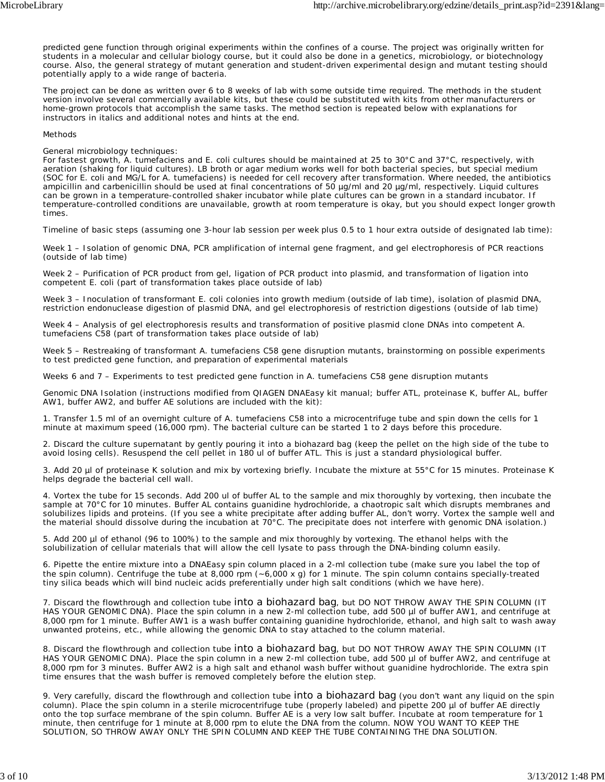predicted gene function through original experiments within the confines of a course. The project was originally written for students in a molecular and cellular biology course, but it could also be done in a genetics, microbiology, or biotechnology course. Also, the general strategy of mutant generation and student-driven experimental design and mutant testing should potentially apply to a wide range of bacteria.

The project can be done as written over 6 to 8 weeks of lab with some outside time required. The methods in the student version involve several commercially available kits, but these could be substituted with kits from other manufacturers or home-grown protocols that accomplish the same tasks. The method section is repeated below with explanations for instructors in italics and additional notes and hints at the end.

#### Methods

#### General microbiology techniques:

*For fastest growth,* A. tumefaciens *and* E. coli *cultures should be maintained at 25 to 30°C and 37°C, respectively, with aeration (shaking for liquid cultures). LB broth or agar medium works well for both bacterial species, but special medium (SOC for* E. coli *and MG/L for* A. tumefaciens*) is needed for cell recovery after transformation. Where needed, the antibiotics ampicillin and carbenicillin should be used at final concentrations of 50 µg/ml and 20 µg/ml, respectively. Liquid cultures can be grown in a temperature-controlled shaker incubator while plate cultures can be grown in a standard incubator. If temperature-controlled conditions are unavailable, growth at room temperature is okay, but you should expect longer growth times.*

*Timeline of basic steps (assuming one 3-hour lab session per week plus 0.5 to 1 hour extra outside of designated lab time):*

*Week 1 – Isolation of genomic DNA, PCR amplification of internal gene fragment, and gel electrophoresis of PCR reactions (outside of lab time)*

*Week 2 – Purification of PCR product from gel, ligation of PCR product into plasmid, and transformation of ligation into competent* E. coli *(part of transformation takes place outside of lab)*

*Week 3 – Inoculation of transformant* E. coli *colonies into growth medium (outside of lab time), isolation of plasmid DNA, restriction endonuclease digestion of plasmid DNA, and gel electrophoresis of restriction digestions (outside of lab time)*

*Week 4 – Analysis of gel electrophoresis results and transformation of positive plasmid clone DNAs into competent* A. tumefaciens *C58 (part of transformation takes place outside of lab)*

*Week 5 – Restreaking of transformant* A. tumefaciens *C58 gene disruption mutants, brainstorming on possible experiments to test predicted gene function, and preparation of experimental materials*

*Weeks 6 and 7 – Experiments to test predicted gene function in* A. tumefaciens *C58 gene disruption mutants*

Genomic DNA Isolation (instructions modified from QIAGEN DNAEasy kit manual; buffer ATL, proteinase K, buffer AL, buffer AW1, buffer AW2, and buffer AE solutions are included with the kit):

1. Transfer 1.5 ml of an overnight culture of *A. tumefaciens* C58 into a microcentrifuge tube and spin down the cells for 1 minute at maximum speed (16,000 rpm). *The bacterial culture can be started 1 to 2 days before this procedure*.

2. Discard the culture supernatant by gently pouring it into a biohazard bag (keep the pellet on the high side of the tube to avoid losing cells). Resuspend the cell pellet in 180 ul of buffer ATL. This is just a standard physiological buffer.

3. Add 20 µl of proteinase K solution and mix by vortexing briefly. Incubate the mixture at 55°C for 15 minutes. Proteinase K helps degrade the bacterial cell wall.

4. Vortex the tube for 15 seconds. Add 200 ul of buffer AL to the sample and mix thoroughly by vortexing, then incubate the sample at 70°C for 10 minutes. Buffer AL contains guanidine hydrochloride, a chaotropic salt which disrupts membranes and solubilizes lipids and proteins. (If you see a white precipitate after adding buffer AL, don't worry. Vortex the sample well and the material should dissolve during the incubation at 70°C. The precipitate does not interfere with genomic DNA isolation.)

5. Add 200 µl of ethanol (96 to 100%) to the sample and mix thoroughly by vortexing. The ethanol helps with the solubilization of cellular materials that will allow the cell lysate to pass through the DNA-binding column easily.

6. Pipette the entire mixture into a DNAEasy spin column placed in a 2-ml collection tube (make sure you label the top of the spin column). Centrifuge the tube at 8,000 rpm (~6,000 x g) for 1 minute. The spin column contains specially-treated tiny silica beads which will bind nucleic acids preferentially under high salt conditions (which we have here).

7. Discard the flowthrough and collection tube into a biohazard bag, but DO NOT THROW AWAY THE SPIN COLUMN (IT HAS YOUR GENOMIC DNA). Place the spin column in a new 2-ml collection tube, add 500 µl of buffer AW1, and centrifuge at 8,000 rpm for 1 minute. Buffer AW1 is a wash buffer containing guanidine hydrochloride, ethanol, and high salt to wash away unwanted proteins, etc., while allowing the genomic DNA to stay attached to the column material.

8. Discard the flowthrough and collection tube into a biohazard bag, but DO NOT THROW AWAY THE SPIN COLUMN (IT HAS YOUR GENOMIC DNA). Place the spin column in a new 2-ml collection tube, add 500 µl of buffer AW2, and centrifuge at 8,000 rpm for 3 minutes. Buffer AW2 is a high salt and ethanol wash buffer without guanidine hydrochloride. The extra spin time ensures that the wash buffer is removed completely before the elution step.

9. Very carefully, discard the flowthrough and collection tube into a biohazard bag (you don't want any liquid on the spin column). Place the spin column in a sterile microcentrifuge tube (properly labeled) and pipette 200 µl of buffer AE directly onto the top surface membrane of the spin column. Buffer AE is a very low salt buffer. Incubate at room temperature for 1 minute, then centrifuge for 1 minute at 8,000 rpm to elute the DNA from the column. NOW YOU WANT TO KEEP THE SOLUTION, SO THROW AWAY ONLY THE SPIN COLUMN AND KEEP THE TUBE CONTAINING THE DNA SOLUTION.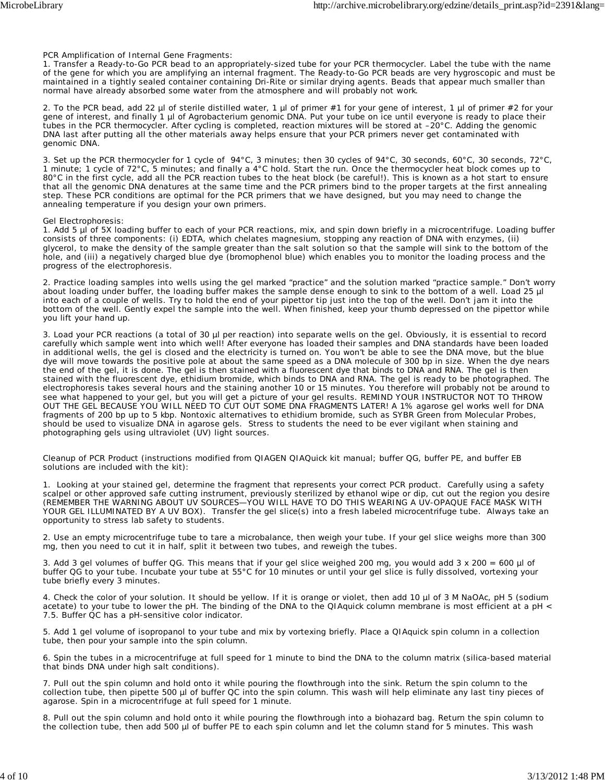PCR Amplification of Internal Gene Fragments:

1. Transfer a Ready-to-Go PCR bead to an appropriately-sized tube for your PCR thermocycler. Label the tube with the name of the gene for which you are amplifying an internal fragment. *The Ready-to-Go PCR beads are very hygroscopic and must be maintained in a tightly sealed container containing Dri-Rite or similar drying agents. Beads that appear much smaller than normal have already absorbed some water from the atmosphere and will probably not work*.

2. To the PCR bead, add 22 µl of sterile distilled water, 1 µl of primer #1 for your gene of interest, 1 µl of primer #2 for your gene of interest, and finally 1 µl of *Agrobacterium* genomic DNA. Put your tube on ice until everyone is ready to place their tubes in the PCR thermocycler. After cycling is completed, reaction mixtures will be stored at –20°C. *Adding the genomic DNA last after putting all the other materials away helps ensure that your PCR primers never get contaminated with genomic DNA*.

3. Set up the PCR thermocycler for 1 cycle of 94°C, 3 minutes; then 30 cycles of 94°C, 30 seconds, 60°C, 30 seconds, 72°C, 1 minute; 1 cycle of 72°C, 5 minutes; and finally a 4°C hold. Start the run. Once the thermocycler heat block comes up to 80°C in the first cycle, add all the PCR reaction tubes to the heat block (be careful!). This is known as a hot start to ensure that all the genomic DNA denatures at the same time and the PCR primers bind to the proper targets at the first annealing step. *These PCR conditions are optimal for the PCR primers that we have designed, but you may need to change the annealing temperature if you design your own primers*.

Gel Electrophoresis:

1. Add 5 µl of 5X loading buffer to each of your PCR reactions, mix, and spin down briefly in a microcentrifuge. Loading buffer consists of three components: (i) EDTA, which chelates magnesium, stopping any reaction of DNA with enzymes, (ii) glycerol, to make the density of the sample greater than the salt solution so that the sample will sink to the bottom of the hole, and (iii) a negatively charged blue dye (bromophenol blue) which enables you to monitor the loading process and the progress of the electrophoresis.

2. Practice loading samples into wells using the gel marked "practice" and the solution marked "practice sample." Don't worry about loading under buffer, the loading buffer makes the sample dense enough to sink to the bottom of a well. Load 25 µl into each of a couple of wells. Try to hold the end of your pipettor tip just into the top of the well. Don't jam it into the bottom of the well. Gently expel the sample into the well. When finished, keep your thumb depressed on the pipettor while you lift your hand up.

3. Load your PCR reactions (a total of 30 µl per reaction) into separate wells on the gel. Obviously, it is essential to record carefully which sample went into which well! After everyone has loaded their samples and DNA standards have been loaded in additional wells, the gel is closed and the electricity is turned on. You won't be able to see the DNA move, but the blue dye will move towards the positive pole at about the same speed as a DNA molecule of 300 bp in size. When the dye nears the end of the gel, it is done. The gel is then stained with a fluorescent dye that binds to DNA and RNA. The gel is then stained with the fluorescent dye, ethidium bromide, which binds to DNA and RNA. The gel is ready to be photographed. The electrophoresis takes several hours and the staining another 10 or 15 minutes. You therefore will probably not be around to see what happened to your gel, but you will get a picture of your gel results. REMIND YOUR INSTRUCTOR NOT TO THROW OUT THE GEL BECAUSE YOU WILL NEED TO CUT OUT SOME DNA FRAGMENTS LATER! *A 1% agarose gel works well for DNA fragments of 200 bp up to 5 kbp. Nontoxic alternatives to ethidium bromide, such as SYBR Green from Molecular Probes, should be used to visualize DNA in agarose gels. Stress to students the need to be ever vigilant when staining and photographing gels using ultraviolet (UV) light sources.*

Cleanup of PCR Product (instructions modified from QIAGEN QIAQuick kit manual; buffer QG, buffer PE, and buffer EB solutions are included with the kit):

1. Looking at your stained gel, determine the fragment that represents your correct PCR product. Carefully using a safety scalpel or other approved safe cutting instrument, previously sterilized by ethanol wipe or dip, cut out the region you desire (REMEMBER THE WARNING ABOUT UV SOURCES—YOU WILL HAVE TO DO THIS WEARING A UV-OPAQUE FACE MASK WITH YOUR GEL ILLUMINATED BY A UV BOX). Transfer the gel slice(s) into a fresh labeled microcentrifuge tube. *Always take an opportunity to stress lab safety to students.*

2. Use an empty microcentrifuge tube to tare a microbalance, then weigh your tube. If your gel slice weighs more than 300 mg, then you need to cut it in half, split it between two tubes, and reweigh the tubes.

3. Add 3 gel volumes of buffer QG. This means that if your gel slice weighed 200 mg, you would add  $3 \times 200 = 600$  µl of buffer QG to your tube. Incubate your tube at 55°C for 10 minutes or until your gel slice is fully dissolved, vortexing your tube briefly every 3 minutes.

4. Check the color of your solution. It should be yellow. If it is orange or violet, then add 10 µl of 3 M NaOAc, pH 5 (sodium acetate) to your tube to lower the pH. The binding of the DNA to the QIAquick column membrane is most efficient at a pH < 7.5. Buffer QC has a pH-sensitive color indicator.

5. Add 1 gel volume of isopropanol to your tube and mix by vortexing briefly. Place a QIAquick spin column in a collection tube, then pour your sample into the spin column.

6. Spin the tubes in a microcentrifuge at full speed for 1 minute to bind the DNA to the column matrix (silica-based material that binds DNA under high salt conditions).

7. Pull out the spin column and hold onto it while pouring the flowthrough into the sink. Return the spin column to the collection tube, then pipette 500 µl of buffer QC into the spin column. This wash will help eliminate any last tiny pieces of agarose. Spin in a microcentrifuge at full speed for 1 minute.

8. Pull out the spin column and hold onto it while pouring the flowthrough into a biohazard bag. Return the spin column to the collection tube, then add 500 µl of buffer PE to each spin column and let the column stand for 5 minutes. This wash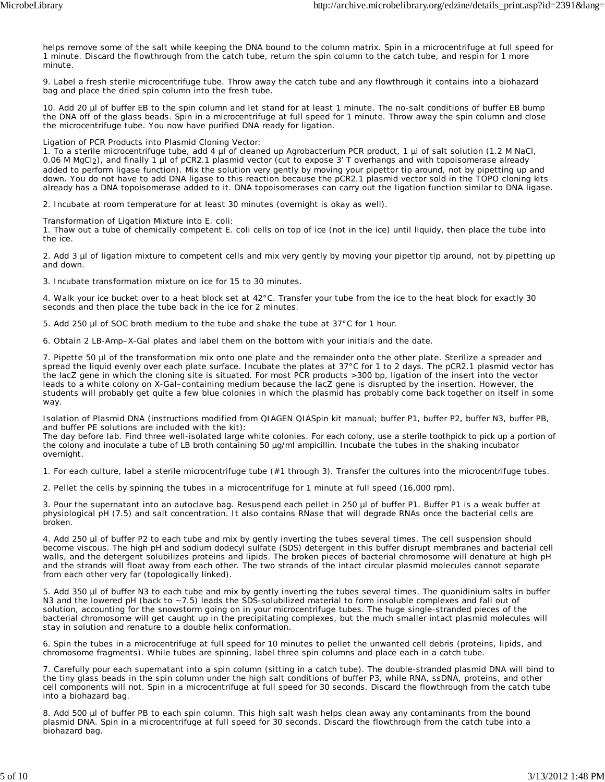helps remove some of the salt while keeping the DNA bound to the column matrix. Spin in a microcentrifuge at full speed for 1 minute. Discard the flowthrough from the catch tube, return the spin column to the catch tube, and respin for 1 more minute.

9. Label a fresh sterile microcentrifuge tube. Throw away the catch tube and any flowthrough it contains into a biohazard bag and place the dried spin column into the fresh tube.

10. Add 20 µl of buffer EB to the spin column and let stand for at least 1 minute. The no-salt conditions of buffer EB bump the DNA off of the glass beads. Spin in a microcentrifuge at full speed for 1 minute. Throw away the spin column and close the microcentrifuge tube. You now have purified DNA ready for ligation.

Ligation of PCR Products into Plasmid Cloning Vector:

1. To a sterile microcentrifuge tube, add 4 µl of cleaned up *Agrobacterium* PCR product, 1 µl of salt solution (1.2 M NaCl, 0.06 M MgCl<sub>2</sub>), and finally 1 µl of pCR2.1 plasmid vector (cut to expose 3' T overhangs and with topoisomerase already added to perform ligase function). Mix the solution very gently by moving your pipettor tip around, not by pipetting up and down. *You do not have to add DNA ligase to this reaction because the pCR2.1 plasmid vector sold in the TOPO cloning kits already has a DNA topoisomerase added to it. DNA topoisomerases can carry out the ligation function similar to DNA ligase*.

2. Incubate at room temperature for at least 30 minutes (overnight is okay as well).

Transformation of Ligation Mixture into *E. coli*:

1. Thaw out a tube of chemically competent *E. coli* cells on top of ice (not in the ice) until liquidy, then place the tube into the ice.

2. Add 3 µl of ligation mixture to competent cells and mix very gently by moving your pipettor tip around, not by pipetting up and down.

3. Incubate transformation mixture on ice for 15 to 30 minutes.

4. Walk your ice bucket over to a heat block set at 42°C. Transfer your tube from the ice to the heat block for exactly 30 seconds and then place the tube back in the ice for 2 minutes.

5. Add 250 µl of SOC broth medium to the tube and shake the tube at 37°C for 1 hour.

6. Obtain 2 LB-Amp–X-Gal plates and label them on the bottom with your initials and the date.

7. Pipette 50 µl of the transformation mix onto one plate and the remainder onto the other plate. Sterilize a spreader and spread the liquid evenly over each plate surface. Incubate the plates at 37°C for 1 to 2 days. *The pCR2.1 plasmid vector has the lacZ gene in which the cloning site is situated. For most PCR products >300 bp, ligation of the insert into the vector leads to a white colony on X-Gal–containing medium because the lacZ gene is disrupted by the insertion. However, the students will probably get quite a few blue colonies in which the plasmid has probably come back together on itself in some way*.

Isolation of Plasmid DNA (instructions modified from QIAGEN QIASpin kit manual; buffer P1, buffer P2, buffer N3, buffer PB, and buffer PE solutions are included with the kit):

The day before lab. Find three well-isolated large white colonies. For each colony, use a sterile toothpick to pick up a portion of the colony and inoculate a tube of LB broth containing 50 µg/ml ampicillin. Incubate the tubes in the shaking incubator overnight.

1. For each culture, label a sterile microcentrifuge tube (#1 through 3). Transfer the cultures into the microcentrifuge tubes.

2. Pellet the cells by spinning the tubes in a microcentrifuge for 1 minute at full speed (16,000 rpm).

3. Pour the supernatant into an autoclave bag. Resuspend each pellet in 250 µl of buffer P1. Buffer P1 is a weak buffer at physiological pH (7.5) and salt concentration. It also contains RNase that will degrade RNAs once the bacterial cells are broken.

4. Add 250 µl of buffer P2 to each tube and mix by gently inverting the tubes several times. The cell suspension should become viscous. The high pH and sodium dodecyl sulfate (SDS) detergent in this buffer disrupt membranes and bacterial cell walls, and the detergent solubilizes proteins and lipids. The broken pieces of bacterial chromosome will denature at high pH and the strands will float away from each other. The two strands of the intact circular plasmid molecules cannot separate from each other very far (topologically linked).

5. Add 350 µl of buffer N3 to each tube and mix by gently inverting the tubes several times. The quanidinium salts in buffer N3 and the lowered pH (back to ~7.5) leads the SDS-solubilized material to form insoluble complexes and fall out of solution, accounting for the snowstorm going on in your microcentrifuge tubes. The huge single-stranded pieces of the bacterial chromosome will get caught up in the precipitating complexes, but the much smaller intact plasmid molecules will stay in solution and renature to a double helix conformation.

6. Spin the tubes in a microcentrifuge at full speed for 10 minutes to pellet the unwanted cell debris (proteins, lipids, and chromosome fragments). While tubes are spinning, label three spin columns and place each in a catch tube.

7. Carefully pour each supernatant into a spin column (sitting in a catch tube). The double-stranded plasmid DNA will bind to the tiny glass beads in the spin column under the high salt conditions of buffer P3, while RNA, ssDNA, proteins, and other cell components will not. Spin in a microcentrifuge at full speed for 30 seconds. Discard the flowthrough from the catch tube into a biohazard bag.

8. Add 500 µl of buffer PB to each spin column. This high salt wash helps clean away any contaminants from the bound plasmid DNA. Spin in a microcentrifuge at full speed for 30 seconds. Discard the flowthrough from the catch tube into a biohazard bag.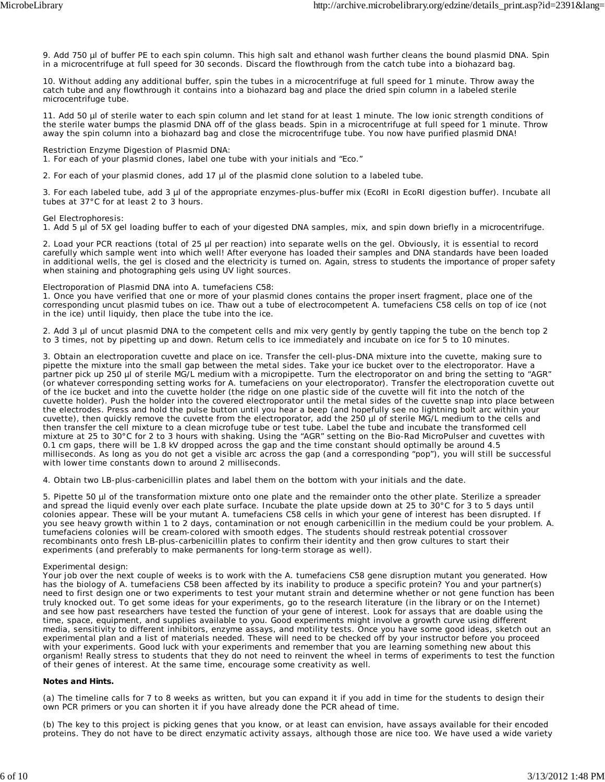9. Add 750 µl of buffer PE to each spin column. This high salt and ethanol wash further cleans the bound plasmid DNA. Spin in a microcentrifuge at full speed for 30 seconds. Discard the flowthrough from the catch tube into a biohazard bag.

10. Without adding any additional buffer, spin the tubes in a microcentrifuge at full speed for 1 minute. Throw away the catch tube and any flowthrough it contains into a biohazard bag and place the dried spin column in a labeled sterile microcentrifuge tube.

11. Add 50 µl of sterile water to each spin column and let stand for at least 1 minute. The low ionic strength conditions of the sterile water bumps the plasmid DNA off of the glass beads. Spin in a microcentrifuge at full speed for 1 minute. Throw away the spin column into a biohazard bag and close the microcentrifuge tube. You now have purified plasmid DNA!

Restriction Enzyme Digestion of Plasmid DNA:

1. For each of your plasmid clones, label one tube with your initials and "Eco."

2. For each of your plasmid clones, add 17 µl of the plasmid clone solution to a labeled tube.

3. For each labeled tube, add 3 µl of the appropriate enzymes-plus-buffer mix (EcoRI in EcoRI digestion buffer). Incubate all tubes at 37°C for at least 2 to 3 hours.

Gel Electrophoresis:

1. Add 5 µl of 5X gel loading buffer to each of your digested DNA samples, mix, and spin down briefly in a microcentrifuge.

2. Load your PCR reactions (total of 25 µl per reaction) into separate wells on the gel. Obviously, it is essential to record carefully which sample went into which well! After everyone has loaded their samples and DNA standards have been loaded in additional wells, the gel is closed and the electricity is turned on. *Again, stress to students the importance of proper safety when staining and photographing gels using UV light sources.*

#### Electroporation of Plasmid DNA into *A. tumefaciens* C58:

1. Once you have verified that one or more of your plasmid clones contains the proper insert fragment, place one of the corresponding uncut plasmid tubes on ice. Thaw out a tube of electrocompetent *A. tumefaciens* C58 cells on top of ice (not in the ice) until liquidy, then place the tube into the ice.

2. Add 3 µl of uncut plasmid DNA to the competent cells and mix very gently by gently tapping the tube on the bench top 2 to 3 times, not by pipetting up and down. Return cells to ice immediately and incubate on ice for 5 to 10 minutes.

3. Obtain an electroporation cuvette and place on ice. Transfer the cell-plus-DNA mixture into the cuvette, making sure to pipette the mixture into the small gap between the metal sides. Take your ice bucket over to the electroporator. Have a partner pick up 250 µl of sterile MG/L medium with a micropipette. Turn the electroporator on and bring the setting to "AGR" (or whatever corresponding setting works for *A. tumefaciens* on your electroporator). Transfer the electroporation cuvette out of the ice bucket and into the cuvette holder (the ridge on one plastic side of the cuvette will fit into the notch of the cuvette holder). Push the holder into the covered electroporator until the metal sides of the cuvette snap into place between the electrodes. Press and hold the pulse button until you hear a beep (and hopefully see no lightning bolt arc within your cuvette), then quickly remove the cuvette from the electroporator, add the 250 µl of sterile MG/L medium to the cells and then transfer the cell mixture to a clean microfuge tube or test tube. Label the tube and incubate the transformed cell mixture at 25 to 30°C for 2 to 3 hours with shaking. *Using the "AGR" setting on the Bio-Rad MicroPulser and cuvettes with 0.1 cm gaps, there will be 1.8 kV dropped across the gap and the time constant should optimally be around 4.5 milliseconds. As long as you do not get a visible arc across the gap (and a corresponding "pop"), you will still be successful with lower time constants down to around 2 milliseconds*.

4. Obtain two LB-plus-carbenicillin plates and label them on the bottom with your initials and the date.

5. Pipette 50 µl of the transformation mixture onto one plate and the remainder onto the other plate. Sterilize a spreader and spread the liquid evenly over each plate surface. Incubate the plate upside down at 25 to 30°C for 3 to 5 days until colonies appear. These will be your mutant *A. tumefaciens* C58 cells in which your gene of interest has been disrupted. *If you see heavy growth within 1 to 2 days, contamination or not enough carbenicillin in the medium could be your problem.* A. tumefaciens *colonies will be cream-colored with smooth edges. The students should restreak potential crossover recombinants onto fresh LB-plus-carbenicillin plates to confirm their identity and then grow cultures to start their experiments (and preferably to make permanents for long-term storage as well)*.

#### Experimental design:

Your job over the next couple of weeks is to work with the *A. tumefaciens* C58 gene disruption mutant you generated. How has the biology of *A. tumefaciens* C58 been affected by its inability to produce a specific protein? You and your partner(s) need to first design one or two experiments to test your mutant strain and determine whether or not gene function has been truly knocked out. To get some ideas for your experiments, go to the research literature (in the library or on the Internet) and see how past researchers have tested the function of your gene of interest. Look for assays that are doable using the time, space, equipment, and supplies available to you. Good experiments might involve a growth curve using different media, sensitivity to different inhibitors, enzyme assays, and motility tests. Once you have some good ideas, sketch out an experimental plan and a list of materials needed. These will need to be checked off by your instructor before you proceed with your experiments. Good luck with your experiments and remember that you are learning something new about this organism! *Really stress to students that they do not need to reinvent the wheel in terms of experiments to test the function of their genes of interest. At the same time, encourage some creativity as well*.

#### **Notes and Hints.**

(a) The timeline calls for 7 to 8 weeks as written, but you can expand it if you add in time for the students to design their own PCR primers or you can shorten it if you have already done the PCR ahead of time.

(b) The key to this project is picking genes that you know, or at least can envision, have assays available for their encoded proteins. They do not have to be direct enzymatic activity assays, although those are nice too. We have used a wide variety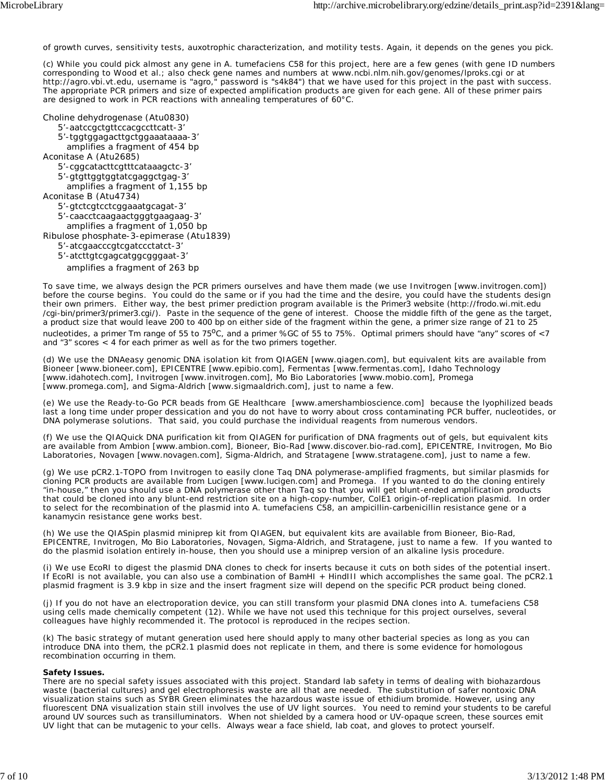of growth curves, sensitivity tests, auxotrophic characterization, and motility tests. Again, it depends on the genes you pick.

(c) While you could pick almost any gene in *A. tumefaciens* C58 for this project, here are a few genes (with gene ID numbers corresponding to Wood et al.; also check gene names and numbers at www.ncbi.nlm.nih.gov/genomes/lproks.cgi or at http://agro.vbi.vt.edu, username is "agro," password is "s4k84") that we have used for this project in the past with success. The appropriate PCR primers and size of expected amplification products are given for each gene. All of these primer pairs are designed to work in PCR reactions with annealing temperatures of 60°C.

Choline dehydrogenase (Atu0830)

5'-aatccgctgttccacgccttcatt-3'

5'-tggtggagacttgctggaaataaaa-3'

amplifies a fragment of 454 bp

Aconitase A (Atu2685)

5'-cggcatacttcgtttcataaagctc-3'

 5'-gtgttggtggtatcgaggctgag-3' amplifies a fragment of 1,155 bp

Aconitase B (Atu4734)

5'-gtctcgtcctcggaaatgcagat-3'

5'-caacctcaagaactgggtgaagaag-3'

amplifies a fragment of 1,050 bp

Ribulose phosphate-3-epimerase (Atu1839)

5'-atcgaacccgtcgatccctatct-3'

5'-atcttgtcgagcatggcgggaat-3'

amplifies a fragment of 263 bp

To save time, we always design the PCR primers ourselves and have them made (we use Invitrogen [www.invitrogen.com]) before the course begins. You could do the same or if you had the time and the desire, you could have the students design their own primers. Either way, the best primer prediction program available is the Primer3 website (http://frodo.wi.mit.edu /cgi-bin/primer3/primer3.cgi/). Paste in the sequence of the gene of interest. Choose the middle fifth of the gene as the target, a product size that would leave 200 to 400 bp on either side of the fragment within the gene, a primer size range of 21 to 25

nucleotides, a primer Tm range of 55 to  $75^{\circ}$ C, and a primer %GC of 55 to 75%. Optimal primers should have "any" scores of  $\lt 7$ and "3" scores < 4 for each primer as well as for the two primers together.

(d) We use the DNAeasy genomic DNA isolation kit from QIAGEN [www.qiagen.com], but equivalent kits are available from Bioneer [www.bioneer.com], EPICENTRE [www.epibio.com], Fermentas [www.fermentas.com], Idaho Technology [www.idahotech.com], Invitrogen [www.invitrogen.com], Mo Bio Laboratories [www.mobio.com], Promega [www.promega.com], and Sigma-Aldrich [www.sigmaaldrich.com], just to name a few.

(e) We use the Ready-to-Go PCR beads from GE Healthcare [www.amershambioscience.com] because the lyophilized beads last a long time under proper dessication and you do not have to worry about cross contaminating PCR buffer, nucleotides, or DNA polymerase solutions. That said, you could purchase the individual reagents from numerous vendors.

(f) We use the QIAQuick DNA purification kit from QIAGEN for purification of DNA fragments out of gels, but equivalent kits are available from Ambion [www.ambion.com], Bioneer, Bio-Rad [www.discover.bio-rad.com], EPICENTRE, Invitrogen, Mo Bio Laboratories, Novagen [www.novagen.com], Sigma-Aldrich, and Stratagene [www.stratagene.com], just to name a few.

(g) We use pCR2.1-TOPO from Invitrogen to easily clone Taq DNA polymerase-amplified fragments, but similar plasmids for cloning PCR products are available from Lucigen [www.lucigen.com] and Promega. If you wanted to do the cloning entirely "in-house," then you should use a DNA polymerase other than Taq so that you will get blunt-ended amplification products that could be cloned into any blunt-end restriction site on a high-copy-number, ColE1 origin-of-replication plasmid. In order to select for the recombination of the plasmid into *A. tumefaciens* C58, an ampicillin-carbenicillin resistance gene or a kanamycin resistance gene works best.

(h) We use the QIASpin plasmid miniprep kit from QIAGEN, but equivalent kits are available from Bioneer, Bio-Rad, EPICENTRE, Invitrogen, Mo Bio Laboratories, Novagen, Sigma-Aldrich, and Stratagene, just to name a few. If you wanted to do the plasmid isolation entirely in-house, then you should use a miniprep version of an alkaline lysis procedure.

(i) We use EcoRI to digest the plasmid DNA clones to check for inserts because it cuts on both sides of the potential insert. If EcoRI is not available, you can also use a combination of BamHI + HindIII which accomplishes the same goal. The pCR2.1 plasmid fragment is 3.9 kbp in size and the insert fragment size will depend on the specific PCR product being cloned.

(j) If you do not have an electroporation device, you can still transform your plasmid DNA clones into *A. tumefaciens* C58 using cells made chemically competent (12). While we have not used this technique for this project ourselves, several colleagues have highly recommended it. The protocol is reproduced in the recipes section.

(k) The basic strategy of mutant generation used here should apply to many other bacterial species as long as you can introduce DNA into them, the pCR2.1 plasmid does not replicate in them, and there is some evidence for homologous recombination occurring in them.

#### **Safety Issues.**

There are no special safety issues associated with this project. Standard lab safety in terms of dealing with biohazardous waste (bacterial cultures) and gel electrophoresis waste are all that are needed. The substitution of safer nontoxic DNA visualization stains such as SYBR Green eliminates the hazardous waste issue of ethidium bromide. However, using any fluorescent DNA visualization stain still involves the use of UV light sources. You need to remind your students to be careful around UV sources such as transilluminators. When not shielded by a camera hood or UV-opaque screen, these sources emit UV light that can be mutagenic to your cells. Always wear a face shield, lab coat, and gloves to protect yourself.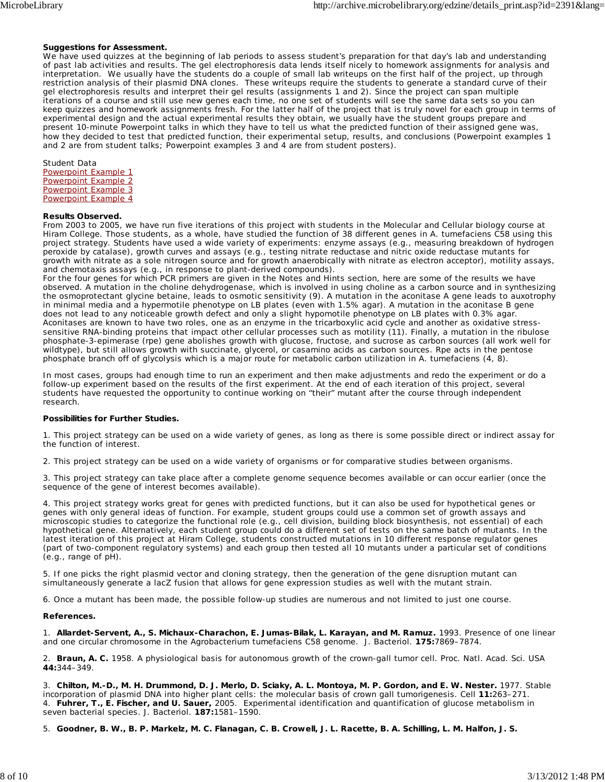#### **Suggestions for Assessment.**

We have used quizzes at the beginning of lab periods to assess student's preparation for that day's lab and understanding of past lab activities and results. The gel electrophoresis data lends itself nicely to homework assignments for analysis and interpretation. We usually have the students do a couple of small lab writeups on the first half of the project, up through restriction analysis of their plasmid DNA clones. These writeups require the students to generate a standard curve of their gel electrophoresis results and interpret their gel results (assignments 1 and 2). Since the project can span multiple iterations of a course and still use new genes each time, no one set of students will see the same data sets so you can keep quizzes and homework assignments fresh. For the latter half of the project that is truly novel for each group in terms of experimental design and the actual experimental results they obtain, we usually have the student groups prepare and present 10-minute Powerpoint talks in which they have to tell us what the predicted function of their assigned gene was, how they decided to test that predicted function, their experimental setup, results, and conclusions (Powerpoint examples 1 and 2 are from student talks; Powerpoint examples 3 and 4 are from student posters).

Student Data Powerpoint Example 1 Powerpoint Example 2 Powerpoint Example 3 Powerpoint Example 4

#### **Results Observed.**

From 2003 to 2005, we have run five iterations of this project with students in the Molecular and Cellular biology course at Hiram College. Those students, as a whole, have studied the function of 38 different genes in *A. tumefaciens* C58 using this project strategy. Students have used a wide variety of experiments: enzyme assays (e.g., measuring breakdown of hydrogen peroxide by catalase), growth curves and assays (e.g., testing nitrate reductase and nitric oxide reductase mutants for growth with nitrate as a sole nitrogen source and for growth anaerobically with nitrate as electron acceptor), motility assays, and chemotaxis assays (e.g., in response to plant-derived compounds).

For the four genes for which PCR primers are given in the Notes and Hints section, here are some of the results we have observed. A mutation in the choline dehydrogenase, which is involved in using choline as a carbon source and in synthesizing the osmoprotectant glycine betaine, leads to osmotic sensitivity (9). A mutation in the aconitase A gene leads to auxotrophy in minimal media and a hypermotile phenotype on LB plates (even with 1.5% agar). A mutation in the aconitase B gene does not lead to any noticeable growth defect and only a slight hypomotile phenotype on LB plates with 0.3% agar. Aconitases are known to have two roles, one as an enzyme in the tricarboxylic acid cycle and another as oxidative stresssensitive RNA-binding proteins that impact other cellular processes such as motility (11). Finally, a mutation in the ribulose phosphate-3-epimerase (rpe) gene abolishes growth with glucose, fructose, and sucrose as carbon sources (all work well for wildtype), but still allows growth with succinate, glycerol, or casamino acids as carbon sources. Rpe acts in the pentose phosphate branch off of glycolysis which is a major route for metabolic carbon utilization in *A. tumefaciens* (4, 8).

In most cases, groups had enough time to run an experiment and then make adjustments and redo the experiment or do a follow-up experiment based on the results of the first experiment. At the end of each iteration of this project, several students have requested the opportunity to continue working on "their" mutant after the course through independent research.

#### **Possibilities for Further Studies.**

1. This project strategy can be used on a wide variety of genes, as long as there is some possible direct or indirect assay for the function of interest.

2. This project strategy can be used on a wide variety of organisms or for comparative studies between organisms.

3. This project strategy can take place after a complete genome sequence becomes available or can occur earlier (once the sequence of the gene of interest becomes available).

4. This project strategy works great for genes with predicted functions, but it can also be used for hypothetical genes or genes with only general ideas of function. For example, student groups could use a common set of growth assays and microscopic studies to categorize the functional role (e.g., cell division, building block biosynthesis, not essential) of each hypothetical gene. Alternatively, each student group could do a different set of tests on the same batch of mutants. In the latest iteration of this project at Hiram College, students constructed mutations in 10 different response regulator genes (part of two-component regulatory systems) and each group then tested all 10 mutants under a particular set of conditions (e.g., range of pH).

5. If one picks the right plasmid vector and cloning strategy, then the generation of the gene disruption mutant can simultaneously generate a *lacZ* fusion that allows for gene expression studies as well with the mutant strain.

6. Once a mutant has been made, the possible follow-up studies are numerous and not limited to just one course.

#### **References.**

1. **Allardet-Servent, A., S. Michaux-Charachon, E. Jumas-Bilak, L. Karayan, and M. Ramuz.** 1993. Presence of one linear and one circular chromosome in the *Agrobacterium tumefaciens* C58 genome. J. Bacteriol. **175:**7869–7874.

2. **Braun, A. C.** 1958. A physiological basis for autonomous growth of the crown-gall tumor cell. Proc. Natl. Acad. Sci. USA **44:**344–349.

3. **Chilton, M.-D., M. H. Drummond, D. J. Merlo, D. Sciaky, A. L. Montoya, M. P. Gordon, and E. W. Nester.** 1977. Stable incorporation of plasmid DNA into higher plant cells: the molecular basis of crown gall tumorigenesis. Cell **11:**263–271. 4. **Fuhrer, T., E. Fischer, and U. Sauer,** 2005. Experimental identification and quantification of glucose metabolism in seven bacterial species. J. Bacteriol. **187:**1581–1590.

5. **Goodner, B. W., B. P. Markelz, M. C. Flanagan, C. B. Crowell, J. L. Racette, B. A. Schilling, L. M. Halfon, J. S.**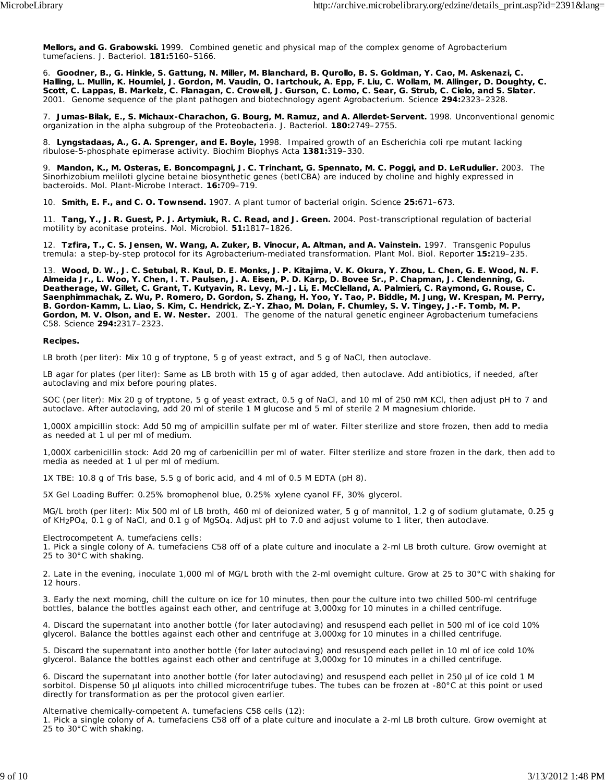**Mellors, and G. Grabowski.** 1999. Combined genetic and physical map of the complex genome of *Agrobacterium tumefaciens*. J. Bacteriol. **181:**5160–5166.

6. **Goodner, B., G. Hinkle, S. Gattung, N. Miller, M. Blanchard, B. Qurollo, B. S. Goldman, Y. Cao, M. Askenazi, C. Halling, L. Mullin, K. Houmiel, J. Gordon, M. Vaudin, O. Iartchouk, A. Epp, F. Liu, C. Wollam, M. Allinger, D. Doughty, C. Scott, C. Lappas, B. Markelz, C. Flanagan, C. Crowell, J. Gurson, C. Lomo, C. Sear, G. Strub, C. Cielo, and S. Slater.** 2001. Genome sequence of the plant pathogen and biotechnology agent *Agrobacterium*. Science **294:**2323–2328.

7. **Jumas-Bilak, E., S. Michaux-Charachon, G. Bourg, M. Ramuz, and A. Allerdet-Servent.** 1998. Unconventional genomic organization in the alpha subgroup of the Proteobacteria. J. Bacteriol. **180:**2749–2755.

8. **Lyngstadaas, A., G. A. Sprenger, and E. Boyle,** 1998. Impaired growth of an Escherichia coli rpe mutant lacking ribulose-5-phosphate epimerase activity. Biochim Biophys Acta **1381:**319–330.

9. **Mandon, K., M. Osteras, E. Boncompagni, J. C. Trinchant, G. Spennato, M. C. Poggi, and D. LeRudulier.** 2003. The Sinorhizobium meliloti glycine betaine biosynthetic genes (betICBA) are induced by choline and highly expressed in bacteroids. Mol. Plant-Microbe Interact. **16:**709–719.

10. **Smith, E. F., and C. O. Townsend.** 1907. A plant tumor of bacterial origin. Science **25:**671–673.

11. **Tang, Y., J. R. Guest, P. J. Artymiuk, R. C. Read, and J. Green.** 2004. Post-transcriptional regulation of bacterial motility by aconitase proteins. Mol. Microbiol. **51:**1817–1826.

12. **Tzfira, T., C. S. Jensen, W. Wang, A. Zuker, B. Vinocur, A. Altman, and A. Vainstein.** 1997. Transgenic Populus tremula: a step-by-step protocol for its Agrobacterium-mediated transformation. Plant Mol. Biol. Reporter **15:**219–235.

13. **Wood, D. W., J. C. Setubal, R. Kaul, D. E. Monks, J. P. Kitajima, V. K. Okura, Y. Zhou, L. Chen, G. E. Wood, N. F. Almeida Jr., L. Woo, Y. Chen, I. T. Paulsen, J. A. Eisen, P. D. Karp, D. Bovee Sr., P. Chapman, J. Clendenning, G. Deatherage, W. Gillet, C. Grant, T. Kutyavin, R. Levy, M.-J. Li, E. McClelland, A. Palmieri, C. Raymond, G. Rouse, C. Saenphimmachak, Z. Wu, P. Romero, D. Gordon, S. Zhang, H. Yoo, Y. Tao, P. Biddle, M. Jung, W. Krespan, M. Perry, B. Gordon-Kamm, L. Liao, S. Kim, C. Hendrick, Z.-Y. Zhao, M. Dolan, F. Chumley, S. V. Tingey, J.-F. Tomb, M. P. Gordon, M. V. Olson, and E. W. Nester.** 2001. The genome of the natural genetic engineer *Agrobacterium tumefaciens* C58. Science **294:**2317–2323.

#### **Recipes.**

LB broth (per liter): Mix 10 g of tryptone, 5 g of yeast extract, and 5 g of NaCl, then autoclave.

LB agar for plates (per liter): Same as LB broth with 15 g of agar added, then autoclave. Add antibiotics, if needed, after autoclaving and mix before pouring plates.

SOC (per liter): Mix 20 g of tryptone, 5 g of yeast extract, 0.5 g of NaCl, and 10 ml of 250 mM KCl, then adjust pH to 7 and autoclave. After autoclaving, add 20 ml of sterile 1 M glucose and 5 ml of sterile 2 M magnesium chloride.

1,000X ampicillin stock: Add 50 mg of ampicillin sulfate per ml of water. Filter sterilize and store frozen, then add to media as needed at 1 ul per ml of medium.

1,000X carbenicillin stock: Add 20 mg of carbenicillin per ml of water. Filter sterilize and store frozen in the dark, then add to media as needed at 1 ul per ml of medium.

1X TBE: 10.8 g of Tris base, 5.5 g of boric acid, and 4 ml of 0.5 M EDTA (pH 8).

5X Gel Loading Buffer: 0.25% bromophenol blue, 0.25% xylene cyanol FF, 30% glycerol.

MG/L broth (per liter): Mix 500 ml of LB broth, 460 ml of deionized water, 5 g of mannitol, 1.2 g of sodium glutamate, 0.25 g of KH2PO4, 0.1 g of NaCl, and 0.1 g of MgSO4. Adjust pH to 7.0 and adjust volume to 1 liter, then autoclave.

Electrocompetent *A. tumefaciens* cells:

1. Pick a single colony of *A. tumefaciens* C58 off of a plate culture and inoculate a 2-ml LB broth culture. Grow overnight at 25 to 30°C with shaking.

2. Late in the evening, inoculate 1,000 ml of MG/L broth with the 2-ml overnight culture. Grow at 25 to 30°C with shaking for 12 hours.

3. Early the next morning, chill the culture on ice for 10 minutes, then pour the culture into two chilled 500-ml centrifuge bottles, balance the bottles against each other, and centrifuge at 3,000xg for 10 minutes in a chilled centrifuge.

4. Discard the supernatant into another bottle (for later autoclaving) and resuspend each pellet in 500 ml of ice cold 10% glycerol. Balance the bottles against each other and centrifuge at 3,000xg for 10 minutes in a chilled centrifuge.

5. Discard the supernatant into another bottle (for later autoclaving) and resuspend each pellet in 10 ml of ice cold 10% glycerol. Balance the bottles against each other and centrifuge at 3,000xg for 10 minutes in a chilled centrifuge.

6. Discard the supernatant into another bottle (for later autoclaving) and resuspend each pellet in 250 µl of ice cold 1 M sorbitol. Dispense 50 µl aliquots into chilled microcentrifuge tubes. The tubes can be frozen at -80°C at this point or used directly for transformation as per the protocol given earlier.

Alternative chemically-competent *A. tumefaciens* C58 cells (12):

1. Pick a single colony of *A. tumefaciens* C58 off of a plate culture and inoculate a 2-ml LB broth culture. Grow overnight at 25 to 30°C with shaking.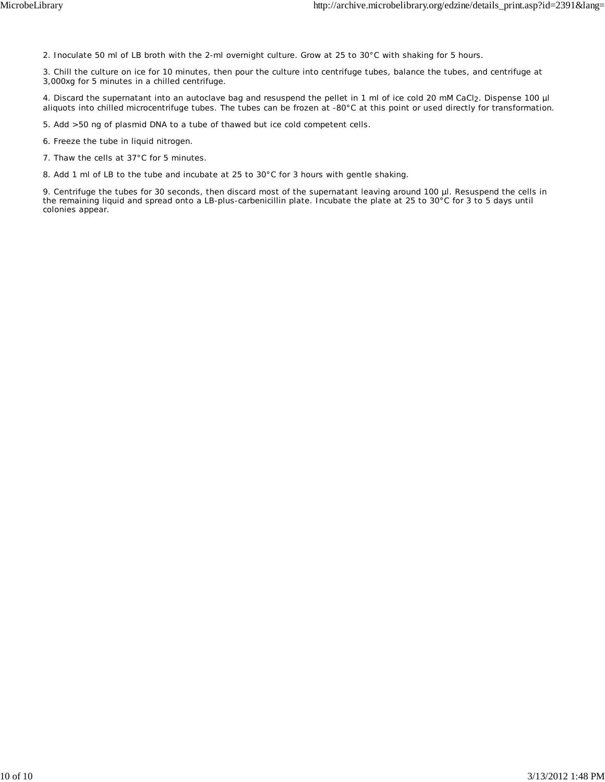2. Inoculate 50 ml of LB broth with the 2-ml overnight culture. Grow at 25 to 30°C with shaking for 5 hours.

3. Chill the culture on ice for 10 minutes, then pour the culture into centrifuge tubes, balance the tubes, and centrifuge at 3,000xg for 5 minutes in a chilled centrifuge.

4. Discard the supernatant into an autoclave bag and resuspend the pellet in 1 ml of ice cold 20 mM CaCl2. Dispense 100 µl aliquots into chilled microcentrifuge tubes. The tubes can be frozen at -80°C at this point or used directly for transformation.

5. Add >50 ng of plasmid DNA to a tube of thawed but ice cold competent cells.

6. Freeze the tube in liquid nitrogen.

7. Thaw the cells at 37°C for 5 minutes.

8. Add 1 ml of LB to the tube and incubate at 25 to 30°C for 3 hours with gentle shaking.

9. Centrifuge the tubes for 30 seconds, then discard most of the supernatant leaving around 100 µl. Resuspend the cells in the remaining liquid and spread onto a LB-plus-carbenicillin plate. Incubate the plate at 25 to 30 $^{\circ}$ C for 3 to 5 days until colonies appear.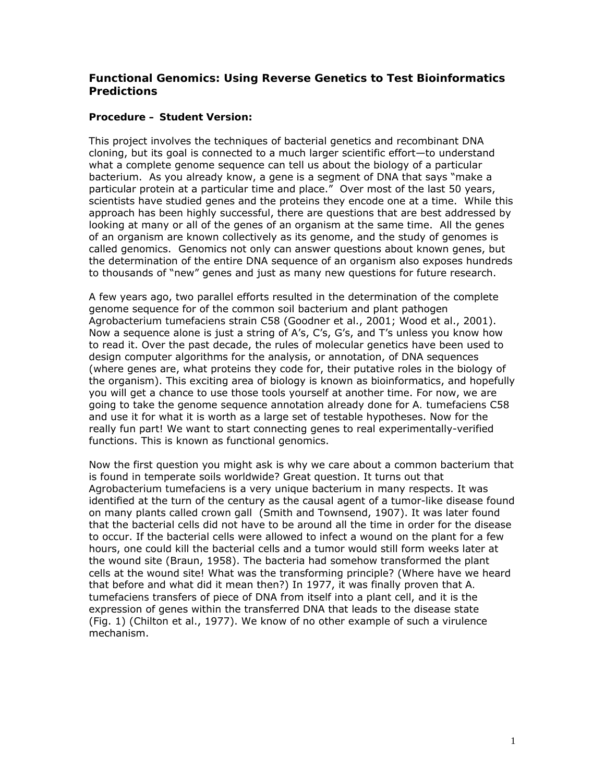#### **Functional Genomics: Using Reverse Genetics to Test Bioinformatics Predictions**

#### **Procedure – Student Version:**

This project involves the techniques of bacterial genetics and recombinant DNA cloning, but its goal is connected to a much larger scientific effort—to understand what a complete genome sequence can tell us about the biology of a particular bacterium. As you already know, a gene is a segment of DNA that says "make a particular protein at a particular time and place." Over most of the last 50 years, scientists have studied genes and the proteins they encode one at a time. While this approach has been highly successful, there are questions that are best addressed by looking at many or all of the genes of an organism at the same time. All the genes of an organism are known collectively as its genome, and the study of genomes is called genomics. Genomics not only can answer questions about known genes, but the determination of the entire DNA sequence of an organism also exposes hundreds to thousands of "new" genes and just as many new questions for future research.

A few years ago, two parallel efforts resulted in the determination of the complete genome sequence for of the common soil bacterium and plant pathogen *Agrobacterium tumefaciens* strain C58 (Goodner et al., 2001; Wood et al., 2001). Now a sequence alone is just a string of A's, C's, G's, and T's unless you know how to read it. Over the past decade, the rules of molecular genetics have been used to design computer algorithms for the analysis, or annotation, of DNA sequences (where genes are, what proteins they code for, their putative roles in the biology of the organism). This exciting area of biology is known as bioinformatics, and hopefully you will get a chance to use those tools yourself at another time. For now, we are going to take the genome sequence annotation already done for *A. tumefaciens* C58 and use it for what it is worth as a large set of testable hypotheses. Now for the really fun part! We want to start connecting genes to real experimentally-verified functions. This is known as functional genomics.

Now the first question you might ask is why we care about a common bacterium that is found in temperate soils worldwide? Great question. It turns out that *Agrobacterium tumefaciens* is a very unique bacterium in many respects. It was identified at the turn of the century as the causal agent of a tumor-like disease found on many plants called crown gall (Smith and Townsend, 1907). It was later found that the bacterial cells did not have to be around all the time in order for the disease to occur. If the bacterial cells were allowed to infect a wound on the plant for a few hours, one could kill the bacterial cells and a tumor would still form weeks later at the wound site (Braun, 1958). The bacteria had somehow transformed the plant cells at the wound site! What was the transforming principle? (Where have we heard that before and what did it mean then?) In 1977, it was finally proven that *A. tumefaciens* transfers of piece of DNA from itself into a plant cell, and it is the expression of genes within the transferred DNA that leads to the disease state (Fig. 1) (Chilton et al., 1977). We know of no other example of such a virulence mechanism.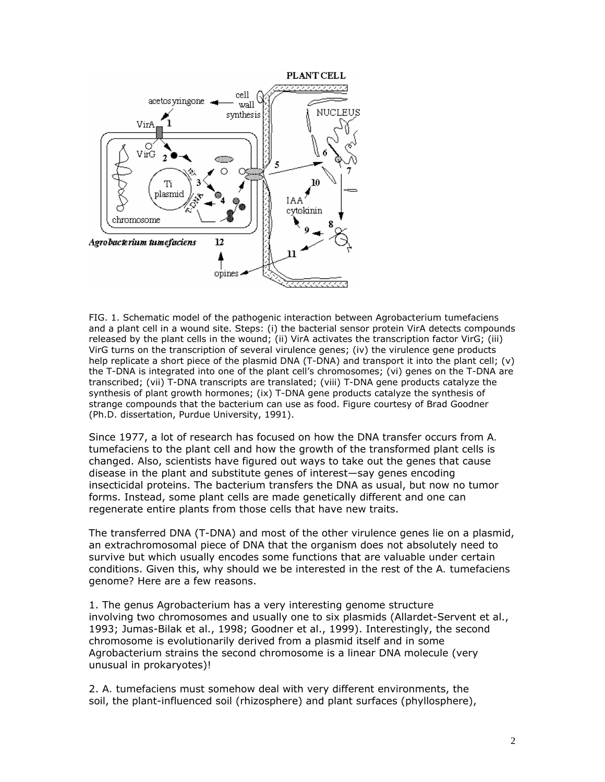

FIG. 1. Schematic model of the pathogenic interaction between *Agrobacterium tumefaciens*  and a plant cell in a wound site. Steps: (i) the bacterial sensor protein VirA detects compounds released by the plant cells in the wound; (ii) VirA activates the transcription factor VirG; (iii) VirG turns on the transcription of several virulence genes; (iv) the virulence gene products help replicate a short piece of the plasmid DNA (T-DNA) and transport it into the plant cell; (v) the T-DNA is integrated into one of the plant cell's chromosomes; (vi) genes on the T-DNA are transcribed; (vii) T-DNA transcripts are translated; (viii) T-DNA gene products catalyze the synthesis of plant growth hormones; (ix) T-DNA gene products catalyze the synthesis of strange compounds that the bacterium can use as food. Figure courtesy of Brad Goodner (Ph.D. dissertation, Purdue University, 1991).

Since 1977, a lot of research has focused on how the DNA transfer occurs from *A. tumefaciens* to the plant cell and how the growth of the transformed plant cells is changed. Also, scientists have figured out ways to take out the genes that cause disease in the plant and substitute genes of interest—say genes encoding insecticidal proteins. The bacterium transfers the DNA as usual, but now no tumor forms. Instead, some plant cells are made genetically different and one can regenerate entire plants from those cells that have new traits.

The transferred DNA (T-DNA) and most of the other virulence genes lie on a plasmid, an extrachromosomal piece of DNA that the organism does not absolutely need to survive but which usually encodes some functions that are valuable under certain conditions. Given this, why should we be interested in the rest of the *A. tumefaciens*  genome? Here are a few reasons.

1. The genus *Agrobacterium* has a very interesting genome structure involving two chromosomes and usually one to six plasmids (Allardet-Servent et al., 1993; Jumas-Bilak et al., 1998; Goodner et al., 1999). Interestingly, the second chromosome is evolutionarily derived from a plasmid itself and in some *Agrobacterium* strains the second chromosome is a linear DNA molecule (very unusual in prokaryotes)!

2. *A. tumefaciens* must somehow deal with very different environments, the soil, the plant-influenced soil (rhizosphere) and plant surfaces (phyllosphere),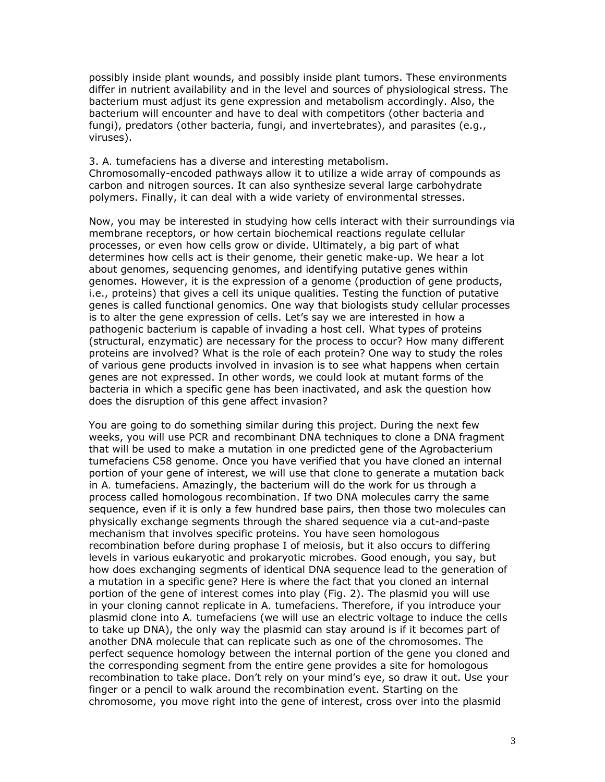possibly inside plant wounds, and possibly inside plant tumors. These environments differ in nutrient availability and in the level and sources of physiological stress. The bacterium must adjust its gene expression and metabolism accordingly. Also, the bacterium will encounter and have to deal with competitors (other bacteria and fungi), predators (other bacteria, fungi, and invertebrates), and parasites (e.g., viruses).

3. *A. tumefaciens* has a diverse and interesting metabolism. Chromosomally-encoded pathways allow it to utilize a wide array of compounds as carbon and nitrogen sources. It can also synthesize several large carbohydrate polymers. Finally, it can deal with a wide variety of environmental stresses.

Now, you may be interested in studying how cells interact with their surroundings via membrane receptors, or how certain biochemical reactions regulate cellular processes, or even how cells grow or divide. Ultimately, a big part of what determines how cells act is their genome, their genetic make-up. We hear a lot about genomes, sequencing genomes, and identifying putative genes within genomes. However, it is the expression of a genome (production of gene products, i.e., proteins) that gives a cell its unique qualities. Testing the function of putative genes is called functional genomics. One way that biologists study cellular processes is to alter the gene expression of cells. Let's say we are interested in how a pathogenic bacterium is capable of invading a host cell. What types of proteins (structural, enzymatic) are necessary for the process to occur? How many different proteins are involved? What is the role of each protein? One way to study the roles of various gene products involved in invasion is to see what happens when certain genes are not expressed. In other words, we could look at mutant forms of the bacteria in which a specific gene has been inactivated, and ask the question how does the disruption of this gene affect invasion?

You are going to do something similar during this project. During the next few weeks, you will use PCR and recombinant DNA techniques to clone a DNA fragment that will be used to make a mutation in one predicted gene of the *Agrobacterium tumefaciens* C58 genome. Once you have verified that you have cloned an internal portion of your gene of interest, we will use that clone to generate a mutation back in *A. tumefaciens*. Amazingly, the bacterium will do the work for us through a process called homologous recombination. If two DNA molecules carry the same sequence, even if it is only a few hundred base pairs, then those two molecules can physically exchange segments through the shared sequence via a cut-and-paste mechanism that involves specific proteins. You have seen homologous recombination before during prophase I of meiosis, but it also occurs to differing levels in various eukaryotic and prokaryotic microbes. Good enough, you say, but how does exchanging segments of identical DNA sequence lead to the generation of a mutation in a specific gene? Here is where the fact that you cloned an internal portion of the gene of interest comes into play (Fig. 2). The plasmid you will use in your cloning cannot replicate in *A. tumefaciens*. Therefore, if you introduce your plasmid clone into *A. tumefaciens* (we will use an electric voltage to induce the cells to take up DNA), the only way the plasmid can stay around is if it becomes part of another DNA molecule that can replicate such as one of the chromosomes. The perfect sequence homology between the internal portion of the gene you cloned and the corresponding segment from the entire gene provides a site for homologous recombination to take place. Don't rely on your mind's eye, so draw it out. Use your finger or a pencil to walk around the recombination event. Starting on the chromosome, you move right into the gene of interest, cross over into the plasmid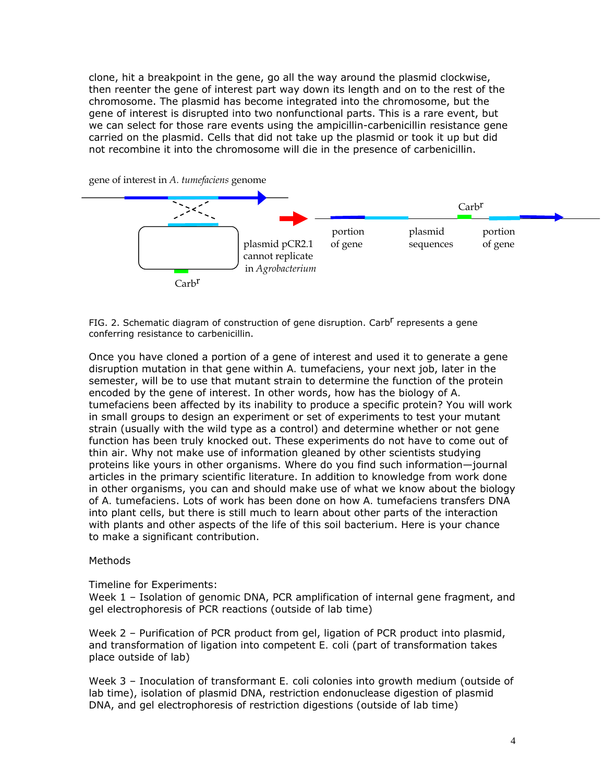clone, hit a breakpoint in the gene, go all the way around the plasmid clockwise, then reenter the gene of interest part way down its length and on to the rest of the chromosome. The plasmid has become integrated into the chromosome, but the gene of interest is disrupted into two nonfunctional parts. This is a rare event, but we can select for those rare events using the ampicillin-carbenicillin resistance gene carried on the plasmid. Cells that did not take up the plasmid or took it up but did not recombine it into the chromosome will die in the presence of carbenicillin.



gene of interest in *A. tumefaciens* genome

FIG. 2. Schematic diagram of construction of gene disruption. Carb<sup>r</sup> represents a gene conferring resistance to carbenicillin.

Once you have cloned a portion of a gene of interest and used it to generate a gene disruption mutation in that gene within *A. tumefaciens*, your next job, later in the semester, will be to use that mutant strain to determine the function of the protein encoded by the gene of interest. In other words, how has the biology of *A. tumefaciens* been affected by its inability to produce a specific protein? You will work in small groups to design an experiment or set of experiments to test your mutant strain (usually with the wild type as a control) and determine whether or not gene function has been truly knocked out. These experiments do not have to come out of thin air. Why not make use of information gleaned by other scientists studying proteins like yours in other organisms. Where do you find such information—journal articles in the primary scientific literature. In addition to knowledge from work done in other organisms, you can and should make use of what we know about the biology of *A. tumefaciens*. Lots of work has been done on how *A. tumefaciens* transfers DNA into plant cells, but there is still much to learn about other parts of the interaction with plants and other aspects of the life of this soil bacterium. Here is your chance to make a significant contribution.

#### **Methods**

Timeline for Experiments:

Week 1 – Isolation of genomic DNA, PCR amplification of internal gene fragment, and gel electrophoresis of PCR reactions (outside of lab time)

Week 2 – Purification of PCR product from gel, ligation of PCR product into plasmid, and transformation of ligation into competent *E. coli* (part of transformation takes place outside of lab)

Week 3 – Inoculation of transformant *E. coli* colonies into growth medium (outside of lab time), isolation of plasmid DNA, restriction endonuclease digestion of plasmid DNA, and gel electrophoresis of restriction digestions (outside of lab time)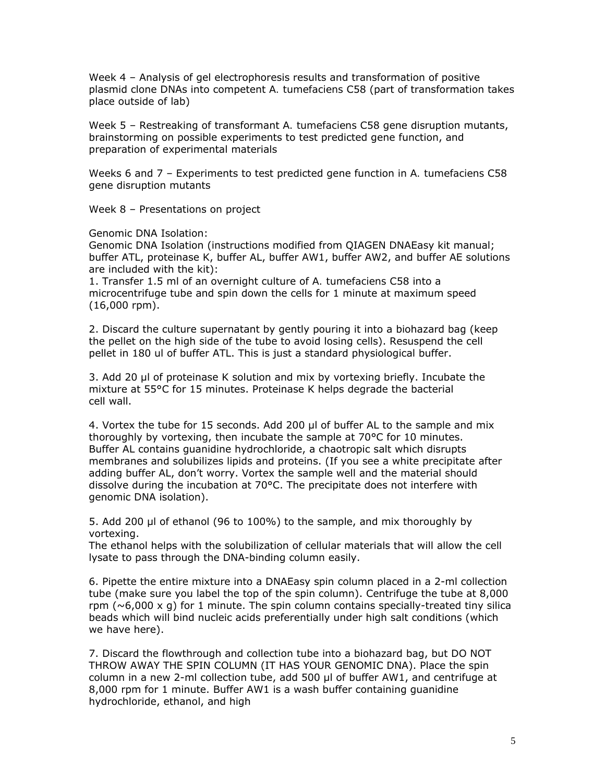Week 4 – Analysis of gel electrophoresis results and transformation of positive plasmid clone DNAs into competent *A. tumefaciens* C58 (part of transformation takes place outside of lab)

Week 5 – Restreaking of transformant *A. tumefaciens* C58 gene disruption mutants, brainstorming on possible experiments to test predicted gene function, and preparation of experimental materials

Weeks 6 and 7 – Experiments to test predicted gene function in *A. tumefaciens* C58 gene disruption mutants

Week 8 – Presentations on project

Genomic DNA Isolation:

Genomic DNA Isolation (instructions modified from QIAGEN DNAEasy kit manual; buffer ATL, proteinase K, buffer AL, buffer AW1, buffer AW2, and buffer AE solutions are included with the kit):

1. Transfer 1.5 ml of an overnight culture of *A. tumefaciens* C58 into a microcentrifuge tube and spin down the cells for 1 minute at maximum speed (16,000 rpm).

2. Discard the culture supernatant by gently pouring it into a biohazard bag (keep the pellet on the high side of the tube to avoid losing cells). Resuspend the cell pellet in 180 ul of buffer ATL. This is just a standard physiological buffer.

3. Add 20 μl of proteinase K solution and mix by vortexing briefly. Incubate the mixture at 55°C for 15 minutes. Proteinase K helps degrade the bacterial cell wall.

4. Vortex the tube for 15 seconds. Add 200 μl of buffer AL to the sample and mix thoroughly by vortexing, then incubate the sample at 70°C for 10 minutes. Buffer AL contains guanidine hydrochloride, a chaotropic salt which disrupts membranes and solubilizes lipids and proteins. (If you see a white precipitate after adding buffer AL, don't worry. Vortex the sample well and the material should dissolve during the incubation at 70°C. The precipitate does not interfere with genomic DNA isolation).

5. Add 200 μl of ethanol (96 to 100%) to the sample, and mix thoroughly by vortexing.

The ethanol helps with the solubilization of cellular materials that will allow the cell lysate to pass through the DNA-binding column easily.

6. Pipette the entire mixture into a DNAEasy spin column placed in a 2-ml collection tube (make sure you label the top of the spin column). Centrifuge the tube at 8,000 rpm  $(\sim 6,000 \times q)$  for 1 minute. The spin column contains specially-treated tiny silica beads which will bind nucleic acids preferentially under high salt conditions (which we have here).

7. Discard the flowthrough and collection tube into a biohazard bag, but DO NOT THROW AWAY THE SPIN COLUMN (IT HAS YOUR GENOMIC DNA). Place the spin column in a new 2-ml collection tube, add 500 μl of buffer AW1, and centrifuge at 8,000 rpm for 1 minute. Buffer AW1 is a wash buffer containing guanidine hydrochloride, ethanol, and high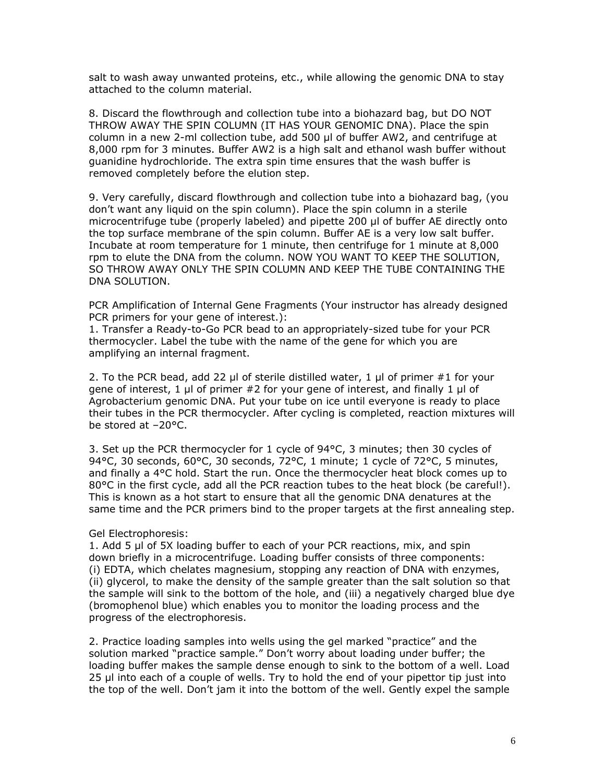salt to wash away unwanted proteins, etc., while allowing the genomic DNA to stay attached to the column material.

8. Discard the flowthrough and collection tube into a biohazard bag, but DO NOT THROW AWAY THE SPIN COLUMN (IT HAS YOUR GENOMIC DNA). Place the spin column in a new 2-ml collection tube, add 500 μl of buffer AW2, and centrifuge at 8,000 rpm for 3 minutes. Buffer AW2 is a high salt and ethanol wash buffer without guanidine hydrochloride. The extra spin time ensures that the wash buffer is removed completely before the elution step.

9. Very carefully, discard flowthrough and collection tube into a biohazard bag, (you don't want any liquid on the spin column). Place the spin column in a sterile microcentrifuge tube (properly labeled) and pipette 200 μl of buffer AE directly onto the top surface membrane of the spin column. Buffer AE is a very low salt buffer. Incubate at room temperature for 1 minute, then centrifuge for 1 minute at 8,000 rpm to elute the DNA from the column. NOW YOU WANT TO KEEP THE SOLUTION, SO THROW AWAY ONLY THE SPIN COLUMN AND KEEP THE TUBE CONTAINING THE DNA SOLUTION.

PCR Amplification of Internal Gene Fragments (Your instructor has already designed PCR primers for your gene of interest.):

1. Transfer a Ready-to-Go PCR bead to an appropriately-sized tube for your PCR thermocycler. Label the tube with the name of the gene for which you are amplifying an internal fragment.

2. To the PCR bead, add 22 μl of sterile distilled water, 1 μl of primer #1 for your gene of interest, 1 μl of primer #2 for your gene of interest, and finally 1 μl of *Agrobacterium* genomic DNA. Put your tube on ice until everyone is ready to place their tubes in the PCR thermocycler. After cycling is completed, reaction mixtures will be stored at –20°C.

3. Set up the PCR thermocycler for 1 cycle of 94°C, 3 minutes; then 30 cycles of 94°C, 30 seconds, 60°C, 30 seconds, 72°C, 1 minute; 1 cycle of 72°C, 5 minutes, and finally a 4°C hold. Start the run. Once the thermocycler heat block comes up to 80°C in the first cycle, add all the PCR reaction tubes to the heat block (be careful!). This is known as a hot start to ensure that all the genomic DNA denatures at the same time and the PCR primers bind to the proper targets at the first annealing step.

Gel Electrophoresis:

1. Add 5 μl of 5X loading buffer to each of your PCR reactions, mix, and spin down briefly in a microcentrifuge. Loading buffer consists of three components: (i) EDTA, which chelates magnesium, stopping any reaction of DNA with enzymes, (ii) glycerol, to make the density of the sample greater than the salt solution so that the sample will sink to the bottom of the hole, and (iii) a negatively charged blue dye (bromophenol blue) which enables you to monitor the loading process and the progress of the electrophoresis.

2. Practice loading samples into wells using the gel marked "practice" and the solution marked "practice sample." Don't worry about loading under buffer; the loading buffer makes the sample dense enough to sink to the bottom of a well. Load 25 μl into each of a couple of wells. Try to hold the end of your pipettor tip just into the top of the well. Don't jam it into the bottom of the well. Gently expel the sample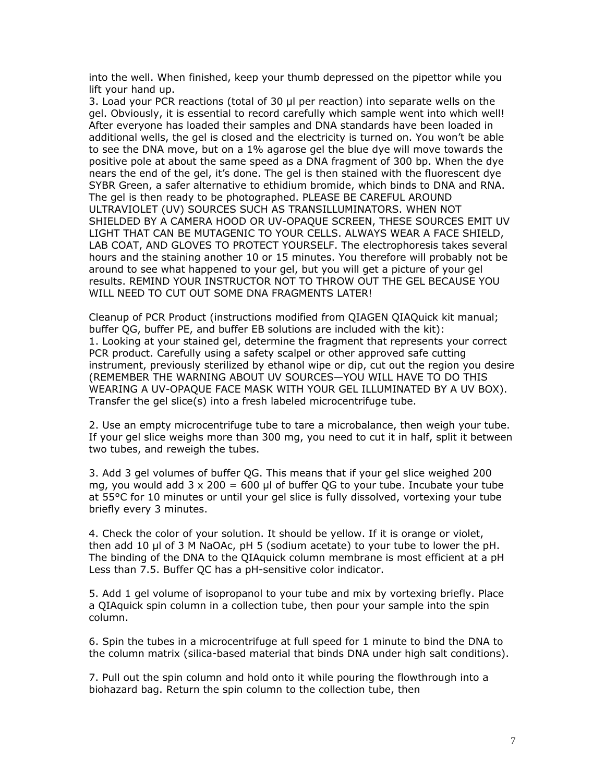into the well. When finished, keep your thumb depressed on the pipettor while you lift your hand up.

3. Load your PCR reactions (total of 30 μl per reaction) into separate wells on the gel. Obviously, it is essential to record carefully which sample went into which well! After everyone has loaded their samples and DNA standards have been loaded in additional wells, the gel is closed and the electricity is turned on. You won't be able to see the DNA move, but on a 1% agarose gel the blue dye will move towards the positive pole at about the same speed as a DNA fragment of 300 bp. When the dye nears the end of the gel, it's done. The gel is then stained with the fluorescent dye SYBR Green, a safer alternative to ethidium bromide, which binds to DNA and RNA. The gel is then ready to be photographed. PLEASE BE CAREFUL AROUND ULTRAVIOLET (UV) SOURCES SUCH AS TRANSILLUMINATORS. WHEN NOT SHIELDED BY A CAMERA HOOD OR UV-OPAQUE SCREEN, THESE SOURCES EMIT UV LIGHT THAT CAN BE MUTAGENIC TO YOUR CELLS. ALWAYS WEAR A FACE SHIELD, LAB COAT, AND GLOVES TO PROTECT YOURSELF. The electrophoresis takes several hours and the staining another 10 or 15 minutes. You therefore will probably not be around to see what happened to your gel, but you will get a picture of your gel results. REMIND YOUR INSTRUCTOR NOT TO THROW OUT THE GEL BECAUSE YOU WILL NEED TO CUT OUT SOME DNA FRAGMENTS LATER!

Cleanup of PCR Product (instructions modified from QIAGEN QIAQuick kit manual; buffer QG, buffer PE, and buffer EB solutions are included with the kit): 1. Looking at your stained gel, determine the fragment that represents your correct PCR product. Carefully using a safety scalpel or other approved safe cutting instrument, previously sterilized by ethanol wipe or dip, cut out the region you desire (REMEMBER THE WARNING ABOUT UV SOURCES—YOU WILL HAVE TO DO THIS WEARING A UV-OPAQUE FACE MASK WITH YOUR GEL ILLUMINATED BY A UV BOX). Transfer the gel slice(s) into a fresh labeled microcentrifuge tube.

2. Use an empty microcentrifuge tube to tare a microbalance, then weigh your tube. If your gel slice weighs more than 300 mg, you need to cut it in half, split it between two tubes, and reweigh the tubes.

3. Add 3 gel volumes of buffer QG. This means that if your gel slice weighed 200 mg, you would add  $3 \times 200 = 600$  µl of buffer OG to your tube. Incubate your tube at 55°C for 10 minutes or until your gel slice is fully dissolved, vortexing your tube briefly every 3 minutes.

4. Check the color of your solution. It should be yellow. If it is orange or violet, then add 10 μl of 3 M NaOAc, pH 5 (sodium acetate) to your tube to lower the pH. The binding of the DNA to the QIAquick column membrane is most efficient at a pH Less than 7.5. Buffer QC has a pH-sensitive color indicator.

5. Add 1 gel volume of isopropanol to your tube and mix by vortexing briefly. Place a QIAquick spin column in a collection tube, then pour your sample into the spin column.

6. Spin the tubes in a microcentrifuge at full speed for 1 minute to bind the DNA to the column matrix (silica-based material that binds DNA under high salt conditions).

7. Pull out the spin column and hold onto it while pouring the flowthrough into a biohazard bag. Return the spin column to the collection tube, then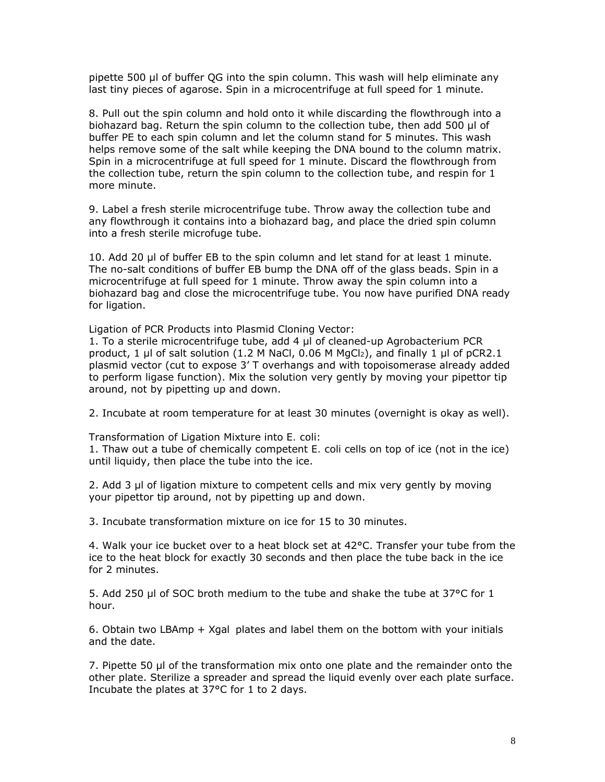pipette 500 μl of buffer QG into the spin column. This wash will help eliminate any last tiny pieces of agarose. Spin in a microcentrifuge at full speed for 1 minute.

8. Pull out the spin column and hold onto it while discarding the flowthrough into a biohazard bag. Return the spin column to the collection tube, then add 500 μl of buffer PE to each spin column and let the column stand for 5 minutes. This wash helps remove some of the salt while keeping the DNA bound to the column matrix. Spin in a microcentrifuge at full speed for 1 minute. Discard the flowthrough from the collection tube, return the spin column to the collection tube, and respin for 1 more minute.

9. Label a fresh sterile microcentrifuge tube. Throw away the collection tube and any flowthrough it contains into a biohazard bag, and place the dried spin column into a fresh sterile microfuge tube.

10. Add 20 μl of buffer EB to the spin column and let stand for at least 1 minute. The no-salt conditions of buffer EB bump the DNA off of the glass beads. Spin in a microcentrifuge at full speed for 1 minute. Throw away the spin column into a biohazard bag and close the microcentrifuge tube. You now have purified DNA ready for ligation.

Ligation of PCR Products into Plasmid Cloning Vector:

1. To a sterile microcentrifuge tube, add 4 μl of cleaned-up *Agrobacterium* PCR product, 1 μl of salt solution (1.2 M NaCl, 0.06 M MgCl2), and finally 1 μl of pCR2.1 plasmid vector (cut to expose 3' T overhangs and with topoisomerase already added to perform ligase function). Mix the solution very gently by moving your pipettor tip around, not by pipetting up and down.

2. Incubate at room temperature for at least 30 minutes (overnight is okay as well).

Transformation of Ligation Mixture into *E. coli*:

1. Thaw out a tube of chemically competent *E. coli* cells on top of ice (not in the ice) until liquidy, then place the tube into the ice.

2. Add 3 μl of ligation mixture to competent cells and mix very gently by moving your pipettor tip around, not by pipetting up and down.

3. Incubate transformation mixture on ice for 15 to 30 minutes.

4. Walk your ice bucket over to a heat block set at  $42^{\circ}$ C. Transfer your tube from the ice to the heat block for exactly 30 seconds and then place the tube back in the ice for 2 minutes.

5. Add 250 μl of SOC broth medium to the tube and shake the tube at 37°C for 1 hour.

6. Obtain two LBAmp + Xgal plates and label them on the bottom with your initials and the date.

7. Pipette 50 μl of the transformation mix onto one plate and the remainder onto the other plate. Sterilize a spreader and spread the liquid evenly over each plate surface. Incubate the plates at 37°C for 1 to 2 days.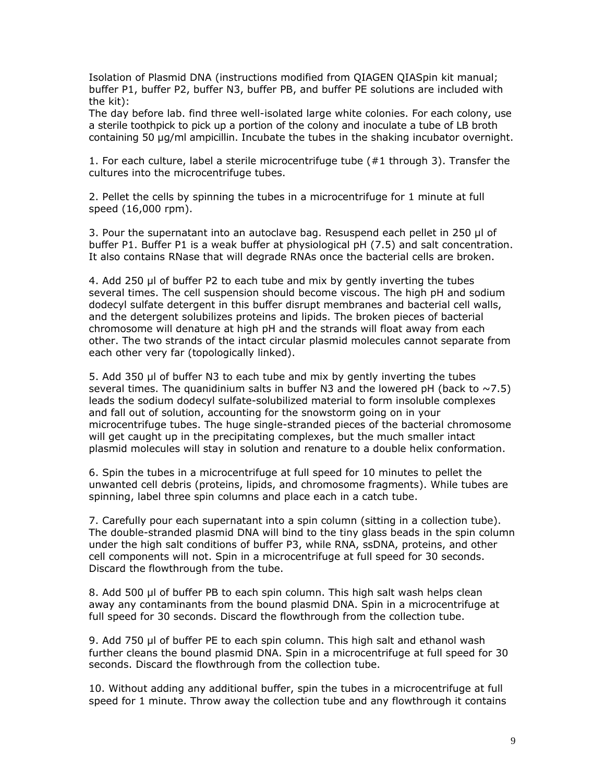Isolation of Plasmid DNA (instructions modified from QIAGEN QIASpin kit manual; buffer P1, buffer P2, buffer N3, buffer PB, and buffer PE solutions are included with the kit):

The day before lab. find three well-isolated large white colonies. For each colony, use a sterile toothpick to pick up a portion of the colony and inoculate a tube of LB broth containing 50 µg/ml ampicillin. Incubate the tubes in the shaking incubator overnight.

1. For each culture, label a sterile microcentrifuge tube (#1 through 3). Transfer the cultures into the microcentrifuge tubes.

2. Pellet the cells by spinning the tubes in a microcentrifuge for 1 minute at full speed (16,000 rpm).

3. Pour the supernatant into an autoclave bag. Resuspend each pellet in 250 μl of buffer P1. Buffer P1 is a weak buffer at physiological pH (7.5) and salt concentration. It also contains RNase that will degrade RNAs once the bacterial cells are broken.

4. Add 250 μl of buffer P2 to each tube and mix by gently inverting the tubes several times. The cell suspension should become viscous. The high pH and sodium dodecyl sulfate detergent in this buffer disrupt membranes and bacterial cell walls, and the detergent solubilizes proteins and lipids. The broken pieces of bacterial chromosome will denature at high pH and the strands will float away from each other. The two strands of the intact circular plasmid molecules cannot separate from each other very far (topologically linked).

5. Add 350 μl of buffer N3 to each tube and mix by gently inverting the tubes several times. The quanidinium salts in buffer N3 and the lowered pH (back to  $\sim$  7.5) leads the sodium dodecyl sulfate-solubilized material to form insoluble complexes and fall out of solution, accounting for the snowstorm going on in your microcentrifuge tubes. The huge single-stranded pieces of the bacterial chromosome will get caught up in the precipitating complexes, but the much smaller intact plasmid molecules will stay in solution and renature to a double helix conformation.

6. Spin the tubes in a microcentrifuge at full speed for 10 minutes to pellet the unwanted cell debris (proteins, lipids, and chromosome fragments). While tubes are spinning, label three spin columns and place each in a catch tube.

7. Carefully pour each supernatant into a spin column (sitting in a collection tube). The double-stranded plasmid DNA will bind to the tiny glass beads in the spin column under the high salt conditions of buffer P3, while RNA, ssDNA, proteins, and other cell components will not. Spin in a microcentrifuge at full speed for 30 seconds. Discard the flowthrough from the tube.

8. Add 500 μl of buffer PB to each spin column. This high salt wash helps clean away any contaminants from the bound plasmid DNA. Spin in a microcentrifuge at full speed for 30 seconds. Discard the flowthrough from the collection tube.

9. Add 750 μl of buffer PE to each spin column. This high salt and ethanol wash further cleans the bound plasmid DNA. Spin in a microcentrifuge at full speed for 30 seconds. Discard the flowthrough from the collection tube.

10. Without adding any additional buffer, spin the tubes in a microcentrifuge at full speed for 1 minute. Throw away the collection tube and any flowthrough it contains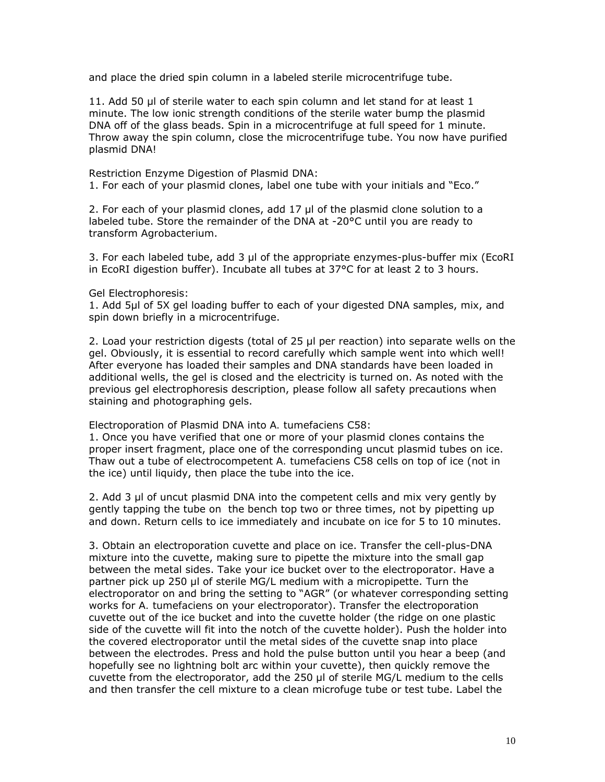and place the dried spin column in a labeled sterile microcentrifuge tube.

11. Add 50 μl of sterile water to each spin column and let stand for at least 1 minute. The low ionic strength conditions of the sterile water bump the plasmid DNA off of the glass beads. Spin in a microcentrifuge at full speed for 1 minute. Throw away the spin column, close the microcentrifuge tube. You now have purified plasmid DNA!

Restriction Enzyme Digestion of Plasmid DNA: 1. For each of your plasmid clones, label one tube with your initials and "Eco."

2. For each of your plasmid clones, add 17 μl of the plasmid clone solution to a labeled tube. Store the remainder of the DNA at -20°C until you are ready to transform *Agrobacterium*.

3. For each labeled tube, add 3 μl of the appropriate enzymes-plus-buffer mix (EcoRI in EcoRI digestion buffer). Incubate all tubes at 37°C for at least 2 to 3 hours.

Gel Electrophoresis:

1. Add 5μl of 5X gel loading buffer to each of your digested DNA samples, mix, and spin down briefly in a microcentrifuge.

2. Load your restriction digests (total of 25 μl per reaction) into separate wells on the gel. Obviously, it is essential to record carefully which sample went into which well! After everyone has loaded their samples and DNA standards have been loaded in additional wells, the gel is closed and the electricity is turned on. As noted with the previous gel electrophoresis description, please follow all safety precautions when staining and photographing gels.

Electroporation of Plasmid DNA into *A. tumefaciens* C58:

1. Once you have verified that one or more of your plasmid clones contains the proper insert fragment, place one of the corresponding uncut plasmid tubes on ice. Thaw out a tube of electrocompetent *A. tumefaciens* C58 cells on top of ice (not in the ice) until liquidy, then place the tube into the ice.

2. Add 3 μl of uncut plasmid DNA into the competent cells and mix very gently by gently tapping the tube on the bench top two or three times, not by pipetting up and down. Return cells to ice immediately and incubate on ice for 5 to 10 minutes.

3. Obtain an electroporation cuvette and place on ice. Transfer the cell-plus-DNA mixture into the cuvette, making sure to pipette the mixture into the small gap between the metal sides. Take your ice bucket over to the electroporator. Have a partner pick up 250 μl of sterile MG/L medium with a micropipette. Turn the electroporator on and bring the setting to "AGR" (or whatever corresponding setting works for *A. tumefaciens* on your electroporator). Transfer the electroporation cuvette out of the ice bucket and into the cuvette holder (the ridge on one plastic side of the cuvette will fit into the notch of the cuvette holder). Push the holder into the covered electroporator until the metal sides of the cuvette snap into place between the electrodes. Press and hold the pulse button until you hear a beep (and hopefully see no lightning bolt arc within your cuvette), then quickly remove the cuvette from the electroporator, add the 250 μl of sterile MG/L medium to the cells and then transfer the cell mixture to a clean microfuge tube or test tube. Label the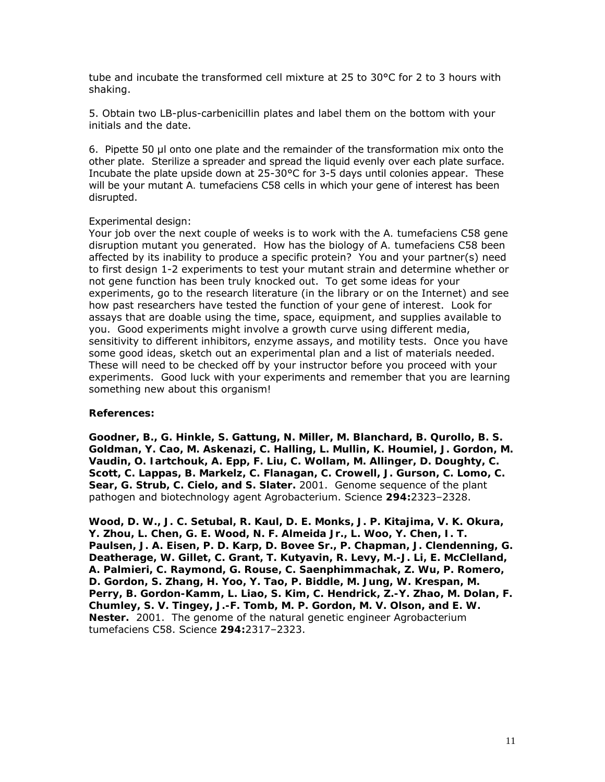tube and incubate the transformed cell mixture at 25 to 30°C for 2 to 3 hours with shaking.

5. Obtain two LB-plus-carbenicillin plates and label them on the bottom with your initials and the date.

6. Pipette 50 µl onto one plate and the remainder of the transformation mix onto the other plate. Sterilize a spreader and spread the liquid evenly over each plate surface. Incubate the plate upside down at 25-30°C for 3-5 days until colonies appear. These will be your mutant *A. tumefaciens* C58 cells in which your gene of interest has been disrupted.

#### Experimental design:

Your job over the next couple of weeks is to work with the *A. tumefaciens* C58 gene disruption mutant you generated. How has the biology of *A. tumefaciens* C58 been affected by its inability to produce a specific protein? You and your partner(s) need to first design 1-2 experiments to test your mutant strain and determine whether or not gene function has been truly knocked out. To get some ideas for your experiments, go to the research literature (in the library or on the Internet) and see how past researchers have tested the function of your gene of interest. Look for assays that are doable using the time, space, equipment, and supplies available to you. Good experiments might involve a growth curve using different media, sensitivity to different inhibitors, enzyme assays, and motility tests. Once you have some good ideas, sketch out an experimental plan and a list of materials needed. These will need to be checked off by your instructor before you proceed with your experiments. Good luck with your experiments and remember that you are learning something new about this organism!

#### **References:**

**Goodner, B., G. Hinkle, S. Gattung, N. Miller, M. Blanchard, B. Qurollo, B. S. Goldman, Y. Cao, M. Askenazi, C. Halling, L. Mullin, K. Houmiel, J. Gordon, M. Vaudin, O. Iartchouk, A. Epp, F. Liu, C. Wollam, M. Allinger, D. Doughty, C. Scott, C. Lappas, B. Markelz, C. Flanagan, C. Crowell, J. Gurson, C. Lomo, C. Sear, G. Strub, C. Cielo, and S. Slater.** 2001. Genome sequence of the plant pathogen and biotechnology agent *Agrobacterium*. Science **294:**2323–2328.

**Wood, D. W., J. C. Setubal, R. Kaul, D. E. Monks, J. P. Kitajima, V. K. Okura, Y. Zhou, L. Chen, G. E. Wood, N. F. Almeida Jr., L. Woo, Y. Chen, I. T. Paulsen, J. A. Eisen, P. D. Karp, D. Bovee Sr., P. Chapman, J. Clendenning, G. Deatherage, W. Gillet, C. Grant, T. Kutyavin, R. Levy, M.-J. Li, E. McClelland, A. Palmieri, C. Raymond, G. Rouse, C. Saenphimmachak, Z. Wu, P. Romero, D. Gordon, S. Zhang, H. Yoo, Y. Tao, P. Biddle, M. Jung, W. Krespan, M. Perry, B. Gordon-Kamm, L. Liao, S. Kim, C. Hendrick, Z.-Y. Zhao, M. Dolan, F. Chumley, S. V. Tingey, J.-F. Tomb, M. P. Gordon, M. V. Olson, and E. W. Nester.** 2001. The genome of the natural genetic engineer *Agrobacterium tumefaciens* C58. Science **294:**2317–2323.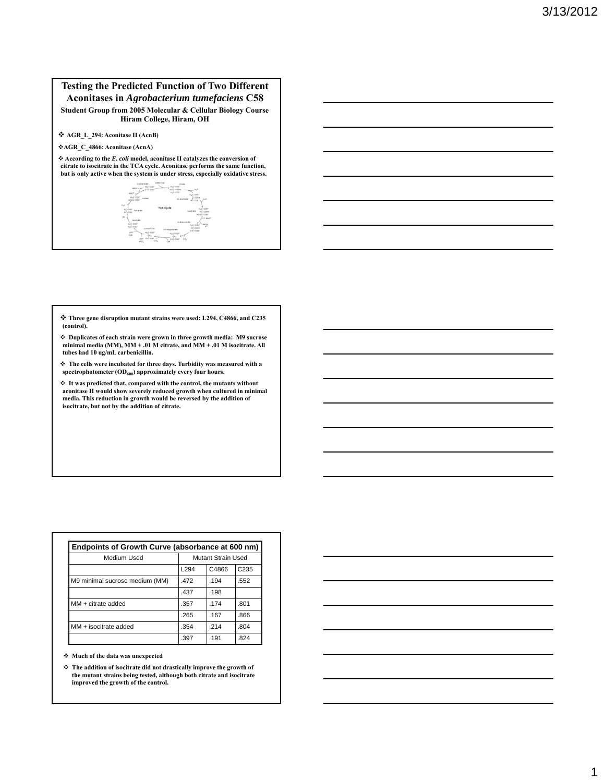#### **Testing the Predicted Function of Two Different Aconitases in** *Agrobacterium tumefaciens* **C58**

**Student Group from 2005 Molecular & Cellular Biology Course Hiram College, Hiram, OH**

**AGR\_L\_294: Aconitase II (AcnB)**

**AGR\_C\_4866: Aconitase (AcnA)**

 **According to the** *E. coli* **model, aconitase II catalyzes the conversion of citrate to isocitrate in the TCA cycle. Aconitase performs the same function, but is only active when the system is under stress, especially oxidative stress.**



 **Three gene disruption mutant strains were used: L294, C4866, and C235 (control).**

**Duplicates of each strain were grown in three growth media: M9 sucrose minimal media (MM), MM + .01 M citrate, and MM + .01 M isocitrate. All tubes had 10 ug/mL carbenicillin.** 

 **The cells were incubated for three days. Turbidity was measured with a**  spectrophotometer (OD<sub>600</sub>) approximately every four hours.

 **It was predicted that, compared with the control, the mutants without aconitase II would show severely reduced growth when cultured in minimal media. This reduction in growth would be reversed by the addition of isocitrate, but not by the addition of citrate.**

| Medium Used                    | Mutant Strain Used |       |                  |
|--------------------------------|--------------------|-------|------------------|
|                                | L <sub>294</sub>   | C4866 | C <sub>235</sub> |
| M9 minimal sucrose medium (MM) | 472                | .194  | .552             |
|                                | .437               | .198  |                  |
| MM + citrate added             | .357               | 174   | .801             |
|                                | .265               | .167  | .866             |
| MM + isocitrate added          | .354               | 214   | .804             |
|                                | .397               | .191  | .824             |

**Much of the data was unexpected**

 **The addition of isocitrate did not drastically improve the growth of the mutant strains being tested, although both citrate and isocitrate improved the growth of the control.**

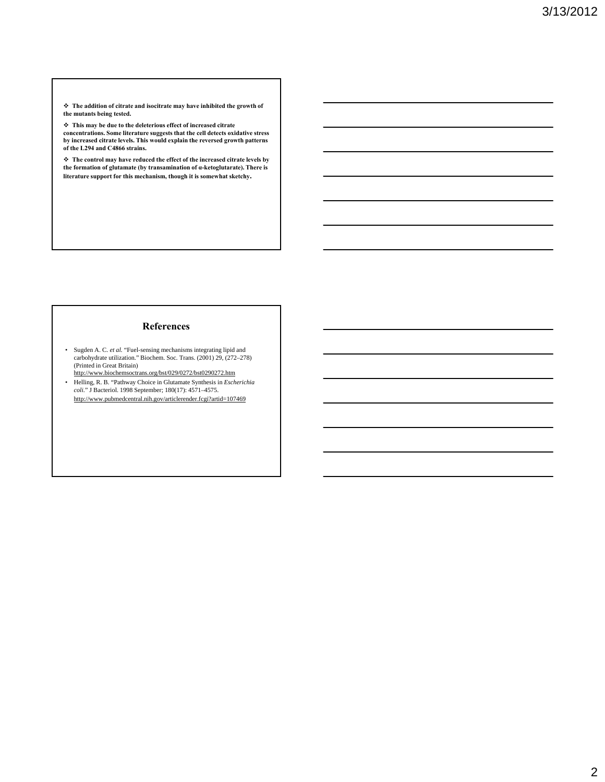**The addition of citrate and isocitrate may have inhibited the growth of the mutants being tested.**

 **This may be due to the deleterious effect of increased citrate concentrations. Some literature suggests that the cell detects oxidative stress by increased citrate levels. This would explain the reversed growth patterns of the L294 and C4866 strains.**

 **The control may have reduced the effect of the increased citrate levels by the formation of glutamate (by transamination of α-ketoglutarate). There is literature support for this mechanism, though it is somewhat sketchy.**

#### **References**

- Sugden A. C. *et al.* "Fuel-sensing mechanisms integrating lipid and carbohydrate utilization." Biochem. Soc. Trans. (2001) 29, (272–278) (Printed in Great Britain) http://www.biochemsoctrans.org/bst/029/0272/bst0290272.htm
- Helling, R. B. "Pathway Choice in Glutamate Synthesis in *Escherichia coli.*" J Bacteriol. 1998 September; 180(17): 4571–4575. http://www.pubmedcentral.nih.gov/articlerender.fcgi?artid=107469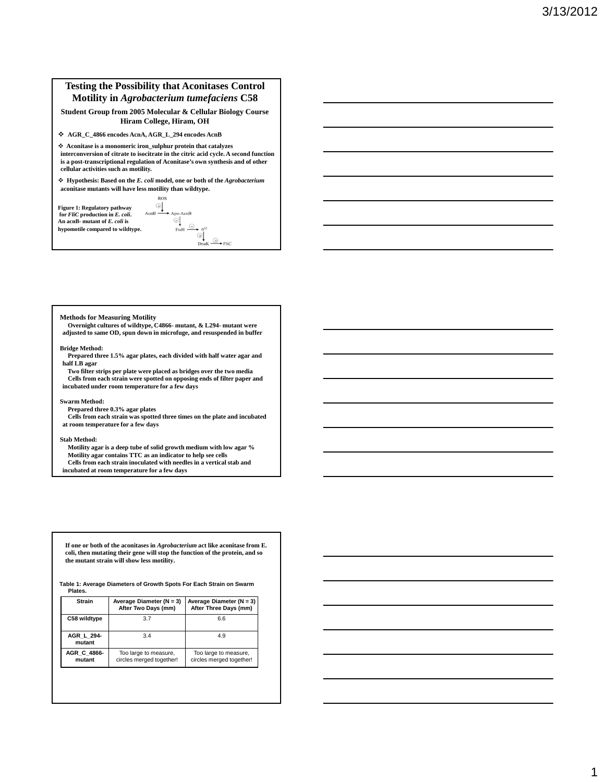#### **Testing the Possibility that Aconitases Control Motility in** *Agrobacterium tumefaciens* **C58**

#### **Student Group from 2005 Molecular & Cellular Biology Course Hiram College, Hiram, OH**

**AGR\_C\_4866 encodes AcnA, AGR\_L\_294 encodes AcnB**

 **Aconitase is a monomeric iron\_sulphur protein that catalyzes interconversion of citrate to isocitrate in the citric acid cycle. A second function is a post-transcriptional regulation of Aconitase's own synthesis and of other cellular activities such as motility.** 

 **Hypothesis: Based on the** *E. coli* **model, one or both of the** *Agrobacterium* **aconitase mutants will have less motility than wildtype. ROS** 

 $\bigoplus_{\text{AcnB}}$ 

**Figure 1: Regulatory pathway for** *FliC* **production in** *E. coli***. An acnB- mutant of** *E. coli* **is hypomotile compared to wildtype.**  $\rightarrow$  Apo-AcnB  $\bigcirc$ <br>FtsH  $\bigcirc$   $\rightarrow$   $\sigma$ <sup>32</sup>  $\bigoplus_{\text{DnaK}} \xrightarrow{\text{D}\bullet} \text{Flic}$ 

#### **Methods for Measuring Motility**

**Overnight cultures of wildtype, C4866- mutant, & L294- mutant were adjusted to same OD, spun down in microfuge, and resuspended in buffer**

#### **Bridge Method:**

**Prepared three 1.5% agar plates, each divided with half water agar and half LB agar**

**Two filter strips per plate were placed as bridges over the two media Cells from each strain were spotted on opposing ends of filter paper and incubated under room temperature for a few days**

#### **Swarm Method:**

**Prepared three 0.3% agar plates Cells from each strain was spotted three times on the plate and incubated at room temperature for a few days**

#### **Stab Method:**

**Motility agar is a deep tube of solid growth medium with low agar % Motility agar contains TTC as an indicator to help see cells Cells from each strain inoculated with needles in a vertical stab and incubated at room temperature for a few days**

**If one or both of the aconitases in** *Agrobacterium* **act like aconitase from E. coli, then mutating their gene will stop the function of the protein, and so the mutant strain will show less motility.**

**Table 1: Average Diameters of Growth Spots For Each Strain on Swarm Plates.**

| <b>Strain</b>         | Average Diameter ( $N = 3$ )<br>After Two Days (mm) | Average Diameter $(N = 3)$<br>After Three Days (mm) |
|-----------------------|-----------------------------------------------------|-----------------------------------------------------|
| C58 wildtype          | 3.7                                                 | 6.6                                                 |
| AGR L 294-<br>mutant  | 3.4                                                 | 4.9                                                 |
| AGR C 4866-<br>mutant | Too large to measure,<br>circles merged together!   | Too large to measure,<br>circles merged together!   |

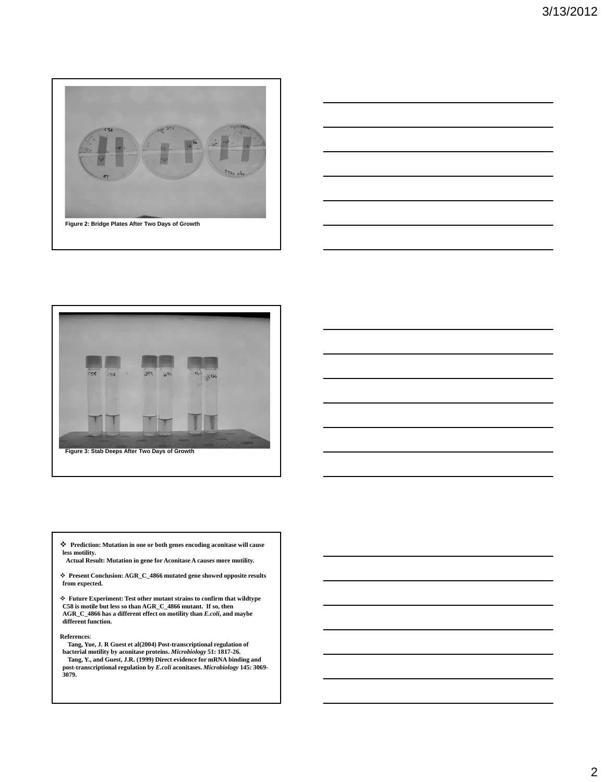





 **Prediction: Mutation in one or both genes encoding aconitase will cause less motility.**

**Actual Result: Mutation in gene for Aconitase A causes more motility.**

 **Present Conclusion: AGR\_C\_4866 mutated gene showed opposite results from expected.**

 **Future Experiment: Test other mutant strains to confirm that wildtype C58 is motile but less so than AGR\_C\_4866 mutant. If so, then AGR\_C\_4866 has a different effect on motility than** *E.coli***, and maybe different function.**

**References**:

**Tang, Yue, J. R Guest et al(2004) Post-transcriptional regulation of bacterial motility by aconitase proteins.** *Microbiology* **51: 1817-26. Tang, Y., and Guest, J.R. (1999) Direct evidence for mRNA binding and post-transcriptional regulation by** *E.coli* **aconitases.** *Microbiology* **145: 3069- 3079.**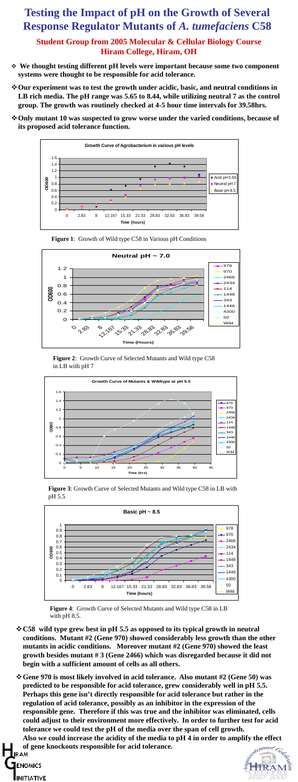## **Testing the Impact of pH on the Growth of Several Response Regulator Mutants of** *A. tumefaciens* **C58**

### **Student Group from 2005 Molecular & Cellular Biology Course Hiram College, Hiram, OH**

- **C58 wild type grew best in pH 5.5 as opposed to its typical growth in neutral conditions. Mutant #2 (Gene 970) showed considerably less growth than the other mutants in acidic conditions. Moreover mutant #2 (Gene 970) showed the least growth besides mutant # 3 (Gene 2466) which was disregarded because it did not begin with a sufficient amount of cells as all others.**
- **Gene 970 is most likely involved in acid tolerance. Also mutant #2 (Gene 50) was predicted to be responsible for acid tolerance, grew considerably well in pH 5.5. Perhaps this gene isn't directly responsible for acid tolerance but rather in the regulation of acid tolerance, possibly as an inhibitor in the expression of the responsible gene. Therefore if this was true and the inhibitor was eliminated, cells could adjust to their environment more effectively. In order to further test for acid tolerance we could test the pH of the media over the span of cell growth. Also we could increase the acidity of the media to pH 4 in order to amplify the effect of gene knockouts responsible for acid tolerance. LIRAM ENOMICS INITIATIVE**
- **We thought testing different pH levels were important because some two component systems were thought to be responsible for acid tolerance.**
- $\diamond$  **Our experiment was to test the growth under acidic, basic, and neutral conditions in LB rich media. The pH range was 5.65 to 8.44, while utilizing neutral 7 as the control group. The growth was routinely checked at 4-5 hour time intervals for 39.58hrs.**
- $\diamond$  **Only mutant 10 was suspected to grow worse under the varied conditions, because of its proposed acid tolerance function.**



**Figure 1**: Growth of Wild type C58 in Various pH Conditions





**Figure 4**: Growth Curve of Selected Mutants and Wild type C58 in LB with pH 8.5.

**Figure 2**: Growth Curve of Selected Mutants and Wild type C58 in LB with pH 7



**Figure 3**: Growth Curve of Selected Mutants and Wild type C58 in LB with pH 5.5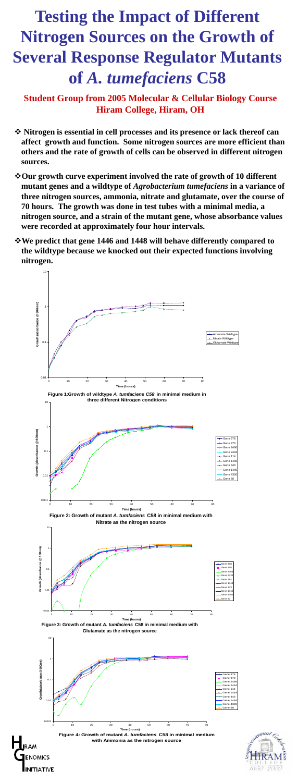# **Testing the Impact of Different Nitrogen Sources on the Growth of Several Response Regulator Mutants of** *A. tumefaciens* **C58**

**Student Group from 2005 Molecular & Cellular Biology Course Hiram College, Hiram, OH**

- $\triangle$  **Nitrogen is essential in cell processes and its presence or lack thereof can affect growth and function. Some nitrogen sources are more efficient than others and the rate of growth of cells can be observed in different nitrogen sources.**
- **Our growth curve experiment involved the rate of growth of 10 different mutant genes and a wildtype of** *Agrobacterium tumefaciens* **in a variance of three nitrogen sources, ammonia, nitrate and glutamate, over the course of 70 hours. The growth was done in test tubes with a minimal media, a nitrogen source, and a strain of the mutant gene, whose absorbance values were recorded at approximately four hour intervals.**
- **We predict that gene 1446 and 1448 will behave differently compared to the wildtype because we knocked out their expected functions involving nitrogen.**